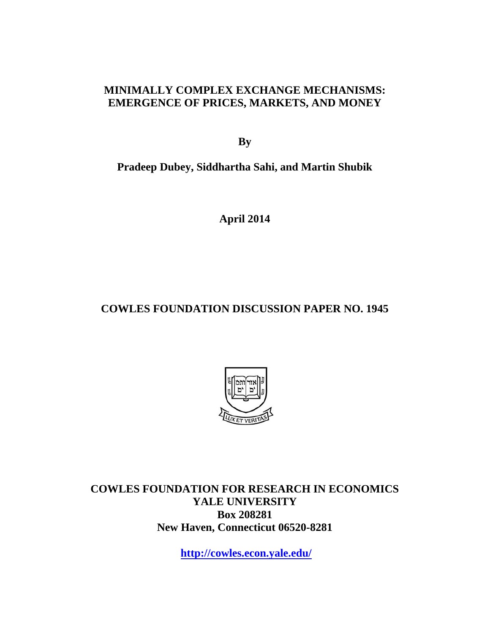### **MINIMALLY COMPLEX EXCHANGE MECHANISMS: EMERGENCE OF PRICES, MARKETS, AND MONEY**

**By** 

**Pradeep Dubey, Siddhartha Sahi, and Martin Shubik** 

**April 2014** 

# **COWLES FOUNDATION DISCUSSION PAPER NO. 1945**



**COWLES FOUNDATION FOR RESEARCH IN ECONOMICS YALE UNIVERSITY Box 208281 New Haven, Connecticut 06520-8281** 

**http://cowles.econ.yale.edu/**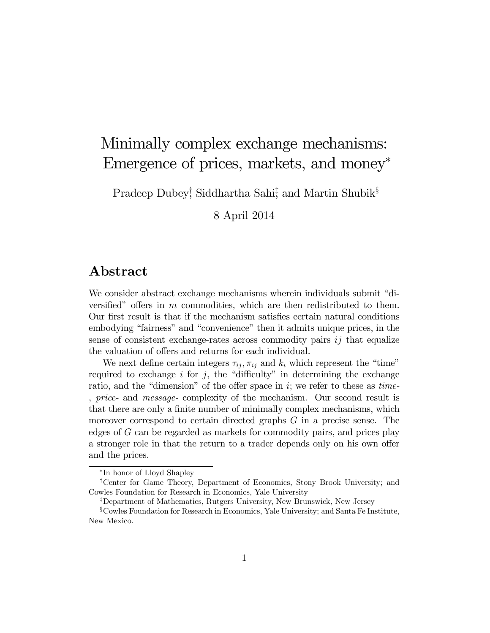# Minimally complex exchange mechanisms: Emergence of prices, markets, and money

Pradeep Dubey<sup>†</sup>, Siddhartha Sahi<sup>‡</sup>, and Martin Shubik<sup>§</sup>

8 April 2014

# Abstract

We consider abstract exchange mechanisms wherein individuals submit "diversified" offers in  $m$  commodities, which are then redistributed to them. Our first result is that if the mechanism satisfies certain natural conditions embodying "fairness" and "convenience" then it admits unique prices, in the sense of consistent exchange-rates across commodity pairs  $i\dot{j}$  that equalize the valuation of offers and returns for each individual.

We next define certain integers  $\tau_{ij}$ ,  $\pi_{ij}$  and  $k_i$  which represent the "time" required to exchange  $i$  for  $j$ , the "difficulty" in determining the exchange ratio, and the "dimension" of the offer space in i; we refer to these as time-, price- and message- complexity of the mechanism. Our second result is that there are only a finite number of minimally complex mechanisms, which moreover correspond to certain directed graphs G in a precise sense. The edges of G can be regarded as markets for commodity pairs, and prices play a stronger role in that the return to a trader depends only on his own offer and the prices.

<sup>\*</sup>In honor of Lloyd Shapley

<sup>y</sup>Center for Game Theory, Department of Economics, Stony Brook University; and Cowles Foundation for Research in Economics, Yale University

<sup>&</sup>lt;sup>‡</sup>Department of Mathematics, Rutgers University, New Brunswick, New Jersey

<sup>&</sup>lt;sup>§</sup>Cowles Foundation for Research in Economics, Yale University; and Santa Fe Institute, New Mexico.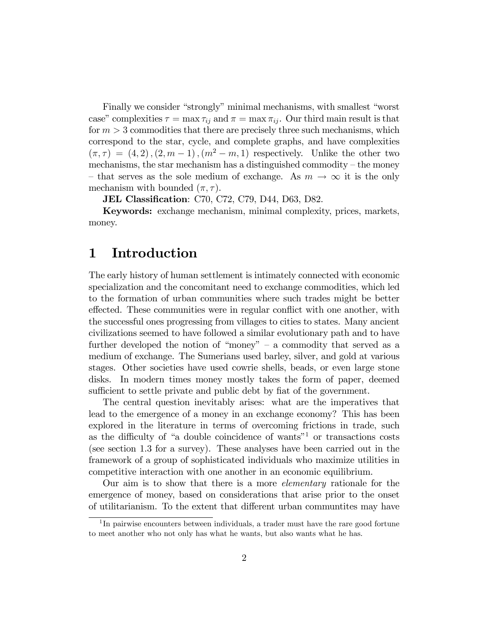Finally we consider "strongly" minimal mechanisms, with smallest "worst" case" complexities  $\tau = \max \tau_{ij}$  and  $\pi = \max \tau_{ij}$ . Our third main result is that for  $m > 3$  commodities that there are precisely three such mechanisms, which correspond to the star, cycle, and complete graphs, and have complexities  $(\pi, \tau) = (4, 2), (2, m - 1), (m^2 - m, 1)$  respectively. Unlike the other two mechanisms, the star mechanism has a distinguished commodity  $-$  the money – that serves as the sole medium of exchange. As  $m \to \infty$  it is the only mechanism with bounded  $(\pi, \tau)$ .

**JEL Classification:** C70, C72, C79, D44, D63, D82.

Keywords: exchange mechanism, minimal complexity, prices, markets, money.

# 1 Introduction

The early history of human settlement is intimately connected with economic specialization and the concomitant need to exchange commodities, which led to the formation of urban communities where such trades might be better effected. These communities were in regular conflict with one another, with the successful ones progressing from villages to cities to states. Many ancient civilizations seemed to have followed a similar evolutionary path and to have further developed the notion of "money"  $-$  a commodity that served as a medium of exchange. The Sumerians used barley, silver, and gold at various stages. Other societies have used cowrie shells, beads, or even large stone disks. In modern times money mostly takes the form of paper, deemed sufficient to settle private and public debt by fiat of the government.

The central question inevitably arises: what are the imperatives that lead to the emergence of a money in an exchange economy? This has been explored in the literature in terms of overcoming frictions in trade, such as the difficulty of "a double coincidence of wants"<sup>1</sup> or transactions costs (see section 1.3 for a survey). These analyses have been carried out in the framework of a group of sophisticated individuals who maximize utilities in competitive interaction with one another in an economic equilibrium.

Our aim is to show that there is a more elementary rationale for the emergence of money, based on considerations that arise prior to the onset of utilitarianism. To the extent that different urban communtities may have

<sup>&</sup>lt;sup>1</sup>In pairwise encounters between individuals, a trader must have the rare good fortune to meet another who not only has what he wants, but also wants what he has.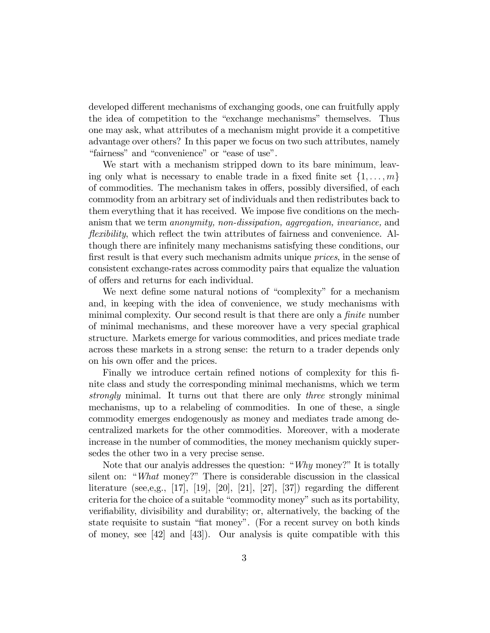developed different mechanisms of exchanging goods, one can fruitfully apply the idea of competition to the "exchange mechanisms" themselves. Thus one may ask, what attributes of a mechanism might provide it a competitive advantage over others? In this paper we focus on two such attributes, namely "fairness" and "convenience" or "ease of use".

We start with a mechanism stripped down to its bare minimum, leaving only what is necessary to enable trade in a fixed finite set  $\{1, \ldots, m\}$ of commodities. The mechanism takes in offers, possibly diversified, of each commodity from an arbitrary set of individuals and then redistributes back to them everything that it has received. We impose five conditions on the mechanism that we term anonymity, non-dissipation, aggregation, invariance, and *flexibility*, which reflect the twin attributes of fairness and convenience. Although there are infinitely many mechanisms satisfying these conditions, our first result is that every such mechanism admits unique *prices*, in the sense of consistent exchange-rates across commodity pairs that equalize the valuation of offers and returns for each individual.

We next define some natural notions of "complexity" for a mechanism and, in keeping with the idea of convenience, we study mechanisms with minimal complexity. Our second result is that there are only a  $finite$  number of minimal mechanisms, and these moreover have a very special graphical structure. Markets emerge for various commodities, and prices mediate trade across these markets in a strong sense: the return to a trader depends only on his own offer and the prices.

Finally we introduce certain refined notions of complexity for this finite class and study the corresponding minimal mechanisms, which we term strongly minimal. It turns out that there are only three strongly minimal mechanisms, up to a relabeling of commodities. In one of these, a single commodity emerges endogenously as money and mediates trade among decentralized markets for the other commodities. Moreover, with a moderate increase in the number of commodities, the money mechanism quickly supersedes the other two in a very precise sense.

Note that our analyis addresses the question: "Why money?" It is totally silent on: "What money?" There is considerable discussion in the classical literature (see,e,g., [17], [19], [20], [21], [27], [37]) regarding the different criteria for the choice of a suitable "commodity money" such as its portability, verifiability, divisibility and durability; or, alternatively, the backing of the state requisite to sustain "fiat money". (For a recent survey on both kinds of money, see [42] and [43]). Our analysis is quite compatible with this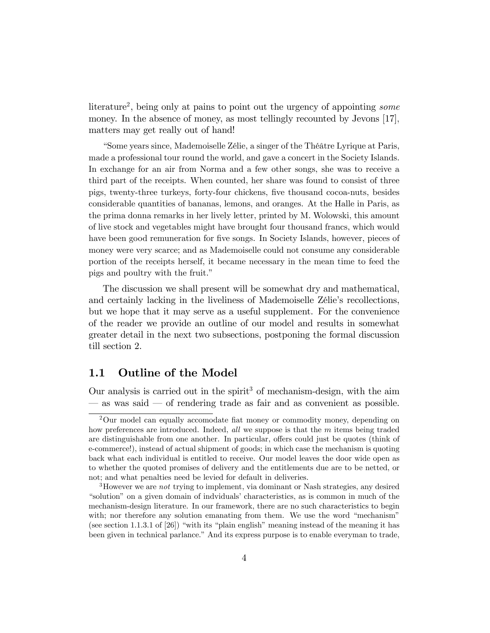literature<sup>2</sup>, being only at pains to point out the urgency of appointing some money. In the absence of money, as most tellingly recounted by Jevons [17], matters may get really out of hand!

ìSome years since, Mademoiselle ZÈlie, a singer of the ThÈ'tre Lyrique at Paris, made a professional tour round the world, and gave a concert in the Society Islands. In exchange for an air from Norma and a few other songs, she was to receive a third part of the receipts. When counted, her share was found to consist of three pigs, twenty-three turkeys, forty-four chickens, Öve thousand cocoa-nuts, besides considerable quantities of bananas, lemons, and oranges. At the Halle in Paris, as the prima donna remarks in her lively letter, printed by M. Wolowski, this amount of live stock and vegetables might have brought four thousand francs, which would have been good remuneration for five songs. In Society Islands, however, pieces of money were very scarce; and as Mademoiselle could not consume any considerable portion of the receipts herself, it became necessary in the mean time to feed the pigs and poultry with the fruit."

The discussion we shall present will be somewhat dry and mathematical, and certainly lacking in the liveliness of Mademoiselle Zélie's recollections, but we hope that it may serve as a useful supplement. For the convenience of the reader we provide an outline of our model and results in somewhat greater detail in the next two subsections, postponing the formal discussion till section 2.

#### 1.1 Outline of the Model

Our analysis is carried out in the spirit<sup>3</sup> of mechanism-design, with the aim  $\sim$  as was said  $\sim$  of rendering trade as fair and as convenient as possible.

 $2$ Our model can equally accomodate fiat money or commodity money, depending on how preferences are introduced. Indeed, all we suppose is that the m items being traded are distinguishable from one another. In particular, offers could just be quotes (think of e-commerce!), instead of actual shipment of goods; in which case the mechanism is quoting back what each individual is entitled to receive. Our model leaves the door wide open as to whether the quoted promises of delivery and the entitlements due are to be netted, or not; and what penalties need be levied for default in deliveries.

<sup>&</sup>lt;sup>3</sup>However we are *not* trying to implement, via dominant or Nash strategies, any desired "solution" on a given domain of indviduals' characteristics, as is common in much of the mechanism-design literature. In our framework, there are no such characteristics to begin with; nor therefore any solution emanating from them. We use the word  $\hat{m}$  mechanism<sup>n</sup> (see section 1.1.3.1 of [26]) "with its "plain english" meaning instead of the meaning it has been given in technical parlance." And its express purpose is to enable everyman to trade,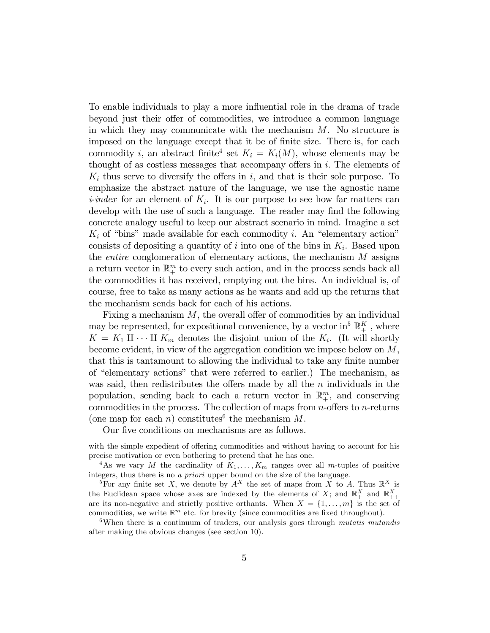To enable individuals to play a more influential role in the drama of trade beyond just their offer of commodities, we introduce a common language in which they may communicate with the mechanism  $M$ . No structure is imposed on the language except that it be of finite size. There is, for each commodity i, an abstract finite<sup>4</sup> set  $K_i = K_i(M)$ , whose elements may be thought of as costless messages that accompany offers in  $i$ . The elements of  $K_i$  thus serve to diversify the offers in i, and that is their sole purpose. To emphasize the abstract nature of the language, we use the agnostic name *i-index* for an element of  $K_i$ . It is our purpose to see how far matters can develop with the use of such a language. The reader may find the following concrete analogy useful to keep our abstract scenario in mind. Imagine a set  $K_i$  of "bins" made available for each commodity i. An "elementary action" consists of depositing a quantity of  $i$  into one of the bins in  $K_i$ . Based upon the *entire* conglomeration of elementary actions, the mechanism  $M$  assigns a return vector in  $\mathbb{R}^m_+$  to every such action, and in the process sends back all the commodities it has received, emptying out the bins. An individual is, of course, free to take as many actions as he wants and add up the returns that the mechanism sends back for each of his actions.

Fixing a mechanism  $M$ , the overall offer of commodities by an individual may be represented, for expositional convenience, by a vector in<sup>5</sup>  $\mathbb{R}^K_+$ , where  $K = K_1 \amalg \cdots \amalg K_m$  denotes the disjoint union of the  $K_i$ . (It will shortly become evident, in view of the aggregation condition we impose below on M, that this is tantamount to allowing the individual to take any finite number of "elementary actions" that were referred to earlier.) The mechanism, as was said, then redistributes the offers made by all the  $n$  individuals in the population, sending back to each a return vector in  $\mathbb{R}^m_+$ , and conserving commodities in the process. The collection of maps from  $n$ -offers to  $n$ -returns (one map for each *n*) constitutes<sup>6</sup> the mechanism  $M$ .

Our five conditions on mechanisms are as follows.

with the simple expedient of offering commodities and without having to account for his precise motivation or even bothering to pretend that he has one.

<sup>&</sup>lt;sup>4</sup>As we vary M the cardinality of  $K_1, \ldots, K_m$  ranges over all m-tuples of positive integers, thus there is no a priori upper bound on the size of the language.

<sup>&</sup>lt;sup>5</sup>For any finite set X, we denote by  $A^X$  the set of maps from X to A. Thus  $\mathbb{R}^X$  is the Euclidean space whose axes are indexed by the elements of X; and  $\mathbb{R}^{X}_{+}$  and  $\mathbb{R}^{X}_{++}$ are its non-negative and strictly positive orthants. When  $X = \{1, \ldots, m\}$  is the set of commodities, we write  $\mathbb{R}^m$  etc. for brevity (since commodities are fixed throughout).

<sup>&</sup>lt;sup>6</sup>When there is a continuum of traders, our analysis goes through *mutatis mutandis* after making the obvious changes (see section 10).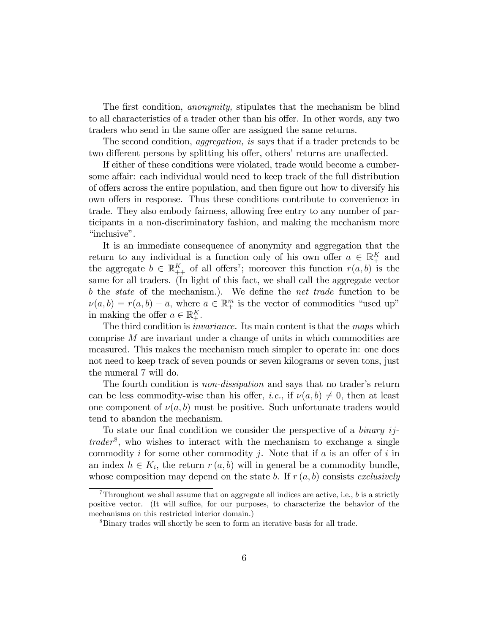The first condition, *anonymity*, stipulates that the mechanism be blind to all characteristics of a trader other than his offer. In other words, any two traders who send in the same offer are assigned the same returns.

The second condition, *aggregation*, is says that if a trader pretends to be two different persons by splitting his offer, others' returns are unaffected.

If either of these conditions were violated, trade would become a cumbersome affair: each individual would need to keep track of the full distribution of offers across the entire population, and then figure out how to diversify his own offers in response. Thus these conditions contribute to convenience in trade. They also embody fairness, allowing free entry to any number of participants in a non-discriminatory fashion, and making the mechanism more "inclusive".

It is an immediate consequence of anonymity and aggregation that the return to any individual is a function only of his own offer  $a \in \mathbb{R}_+^K$  and the aggregate  $b \in \mathbb{R}_{++}^K$  of all offers<sup>7</sup>; moreover this function  $r(a, b)$  is the same for all traders. (In light of this fact, we shall call the aggregate vector b the *state* of the mechanism.). We define the *net trade* function to be  $\nu(a, b) = r(a, b) - \overline{a}$ , where  $\overline{a} \in \mathbb{R}^m_+$  is the vector of commodities "used up" in making the offer  $a \in \mathbb{R}^K_+$ .

The third condition is *invariance*. Its main content is that the maps which comprise  $M$  are invariant under a change of units in which commodities are measured. This makes the mechanism much simpler to operate in: one does not need to keep track of seven pounds or seven kilograms or seven tons, just the numeral 7 will do.

The fourth condition is *non-dissipation* and says that no trader's return can be less commodity-wise than his offer, *i.e.*, if  $\nu(a, b) \neq 0$ , then at least one component of  $\nu(a, b)$  must be positive. Such unfortunate traders would tend to abandon the mechanism.

To state our final condition we consider the perspective of a *binary ij*- $\theta$ , who wishes to interact with the mechanism to exchange a single commodity i for some other commodity j. Note that if a is an offer of i in an index  $h \in K_i$ , the return  $r(a, b)$  will in general be a commodity bundle, whose composition may depend on the state b. If  $r(a, b)$  consists exclusively

Throughout we shall assume that on aggregate all indices are active, i.e.,  $b$  is a strictly positive vector. (It will suffice, for our purposes, to characterize the behavior of the mechanisms on this restricted interior domain.)

<sup>8</sup>Binary trades will shortly be seen to form an iterative basis for all trade.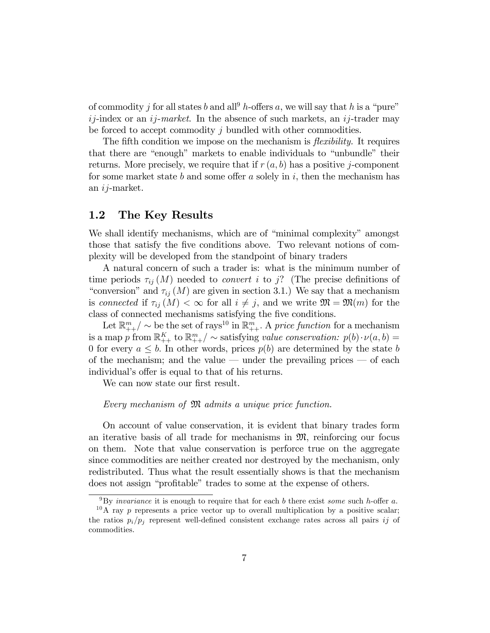of commodity j for all states b and all<sup>9</sup> h-offers a, we will say that h is a "pure"  $ij$ -index or an  $ij$ -market. In the absence of such markets, an  $ij$ -trader may be forced to accept commodity j bundled with other commodities.

The fifth condition we impose on the mechanism is *flexibility*. It requires that there are "enough" markets to enable individuals to "unbundle" their returns. More precisely, we require that if  $r(a, b)$  has a positive j-component for some market state b and some offer a solely in i, then the mechanism has an ij-market.

#### 1.2 The Key Results

We shall identify mechanisms, which are of "minimal complexity" amongst those that satisfy the five conditions above. Two relevant notions of complexity will be developed from the standpoint of binary traders

A natural concern of such a trader is: what is the minimum number of time periods  $\tau_{ij}(M)$  needed to *convert i* to j? (The precise definitions of "conversion" and  $\tau_{ij}(M)$  are given in section 3.1.) We say that a mechanism is connected if  $\tau_{ij}(M) < \infty$  for all  $i \neq j$ , and we write  $\mathfrak{M} = \mathfrak{M}(m)$  for the class of connected mechanisms satisfying the five conditions.

Let  $\mathbb{R}_{++}^m / \sim$  be the set of rays<sup>10</sup> in  $\mathbb{R}_{++}^m$ . A price function for a mechanism is a map p from  $\mathbb{R}_{++}^K$  to  $\mathbb{R}_{++}^m / \sim$  satisfying value conservation:  $p(b) \cdot \nu(a, b) =$ 0 for every  $a \leq b$ . In other words, prices  $p(b)$  are determined by the state b of the mechanism; and the value  $-\text{ under the prevailing prices } - \text{ of each}$ individual's offer is equal to that of his returns.

We can now state our first result.

#### Every mechanism of M admits a unique price function.

On account of value conservation, it is evident that binary trades form an iterative basis of all trade for mechanisms in  $\mathfrak{M}$ , reinforcing our focus on them. Note that value conservation is perforce true on the aggregate since commodities are neither created nor destroyed by the mechanism, only redistributed. Thus what the result essentially shows is that the mechanism does not assign "profitable" trades to some at the expense of others.

 $9By$  *invariance* it is enough to require that for each b there exist *some* such h-offer a.

<sup>&</sup>lt;sup>10</sup>A ray p represents a price vector up to overall multiplication by a positive scalar; the ratios  $p_i/p_j$  represent well-defined consistent exchange rates across all pairs ij of commodities.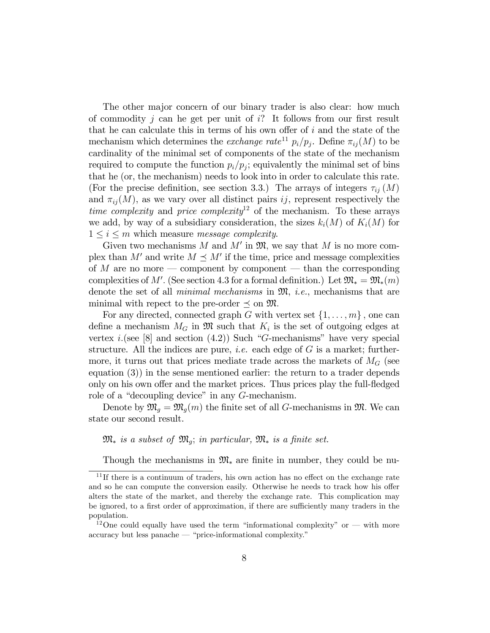The other major concern of our binary trader is also clear: how much of commodity j can be get per unit of  $i$ ? It follows from our first result that he can calculate this in terms of his own offer of  $i$  and the state of the mechanism which determines the *exchange rate*<sup>11</sup>  $p_i/p_j$ . Define  $\pi_{ij}(M)$  to be cardinality of the minimal set of components of the state of the mechanism required to compute the function  $p_i/p_j$ ; equivalently the minimal set of bins that he (or, the mechanism) needs to look into in order to calculate this rate. (For the precise definition, see section 3.3.) The arrays of integers  $\tau_{ij}(M)$ and  $\pi_{ii}(M)$ , as we vary over all distinct pairs ij, represent respectively the time complexity and price complexity<sup>12</sup> of the mechanism. To these arrays we add, by way of a subsidiary consideration, the sizes  $k_i(M)$  of  $K_i(M)$  for  $1 \leq i \leq m$  which measure *message complexity*.

Given two mechanisms M and M' in  $\mathfrak{M}$ , we say that M is no more complex than M' and write  $M \preceq M'$  if the time, price and message complexities of M are no more – component by component – than the corresponding complexities of M'. (See section 4.3 for a formal definition.) Let  $\mathfrak{M}_* = \mathfrak{M}_*(m)$ denote the set of all *minimal mechanisms* in  $\mathfrak{M}$ , *i.e.*, mechanisms that are minimal with repect to the pre-order  $\preceq$  on  $\mathfrak{M}$ .

For any directed, connected graph G with vertex set  $\{1, \ldots, m\}$ , one can define a mechanism  $M_G$  in  $\mathfrak{M}$  such that  $K_i$  is the set of outgoing edges at vertex *i*.(see [8] and section  $(4.2)$ ) Such "G-mechanisms" have very special structure. All the indices are pure, *i.e.* each edge of  $G$  is a market; furthermore, it turns out that prices mediate trade across the markets of  $M<sub>G</sub>$  (see equation (3)) in the sense mentioned earlier: the return to a trader depends only on his own offer and the market prices. Thus prices play the full-fledged role of a "decoupling device" in any  $G$ -mechanism.

Denote by  $\mathfrak{M}_g = \mathfrak{M}_g(m)$  the finite set of all G-mechanisms in  $\mathfrak{M}$ . We can state our second result.

 $\mathfrak{M}_*$  is a subset of  $\mathfrak{M}_o$ ; in particular,  $\mathfrak{M}_*$  is a finite set.

Though the mechanisms in  $\mathfrak{M}_{*}$  are finite in number, they could be nu-

 $11$ If there is a continuum of traders, his own action has no effect on the exchange rate and so he can compute the conversion easily. Otherwise he needs to track how his offer alters the state of the market, and thereby the exchange rate. This complication may be ignored, to a first order of approximation, if there are sufficiently many traders in the population.

<sup>&</sup>lt;sup>12</sup>One could equally have used the term "informational complexity" or  $-$  with more  $\alpha$ ccuracy but less panache  $\sim$  "price-informational complexity."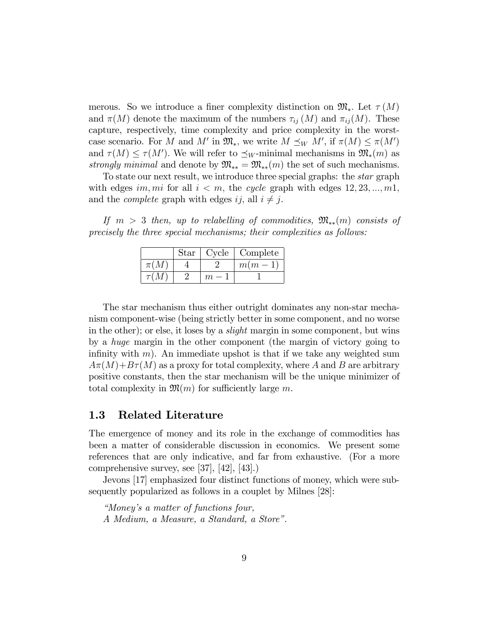merous. So we introduce a finer complexity distinction on  $\mathfrak{M}_*$ . Let  $\tau(M)$ and  $\pi(M)$  denote the maximum of the numbers  $\tau_{ij}(M)$  and  $\pi_{ij}(M)$ . These capture, respectively, time complexity and price complexity in the worstcase scenario. For M and M' in  $\mathfrak{M}_*$ , we write  $M \preceq_W M'$ , if  $\pi(M) \leq \pi(M')$ and  $\tau(M) \leq \tau(M')$ . We will refer to  $\preceq_W$ -minimal mechanisms in  $\mathfrak{M}_*(m)$  as strongly minimal and denote by  $\mathfrak{M}_{**} = \mathfrak{M}_{**}(m)$  the set of such mechanisms.

To state our next result, we introduce three special graphs: the star graph with edges im, mi for all  $i < m$ , the cycle graph with edges  $12, 23, ..., m1$ , and the *complete* graph with edges ij, all  $i \neq j$ .

If  $m > 3$  then, up to relabelling of commodities,  $\mathfrak{M}_{**}(m)$  consists of precisely the three special mechanisms; their complexities as follows:

|          | Star | Cycle | Complete |
|----------|------|-------|----------|
| $\pi(M)$ |      |       | $m(m-1)$ |
|          |      |       |          |

The star mechanism thus either outright dominates any non-star mechanism component-wise (being strictly better in some component, and no worse in the other); or else, it loses by a *slight* margin in some component, but wins by a huge margin in the other component (the margin of victory going to infinity with m). An immediate upshot is that if we take any weighted sum  $A\pi(M)+B\tau(M)$  as a proxy for total complexity, where A and B are arbitrary positive constants, then the star mechanism will be the unique minimizer of total complexity in  $\mathfrak{M}(m)$  for sufficiently large m.

#### 1.3 Related Literature

The emergence of money and its role in the exchange of commodities has been a matter of considerable discussion in economics. We present some references that are only indicative, and far from exhaustive. (For a more comprehensive survey, see [37], [42], [43].)

Jevons [17] emphasized four distinct functions of money, which were subsequently popularized as follows in a couplet by Milnes [28]:

ìMoneyís a matter of functions four, A Medium, a Measure, a Standard, a Store".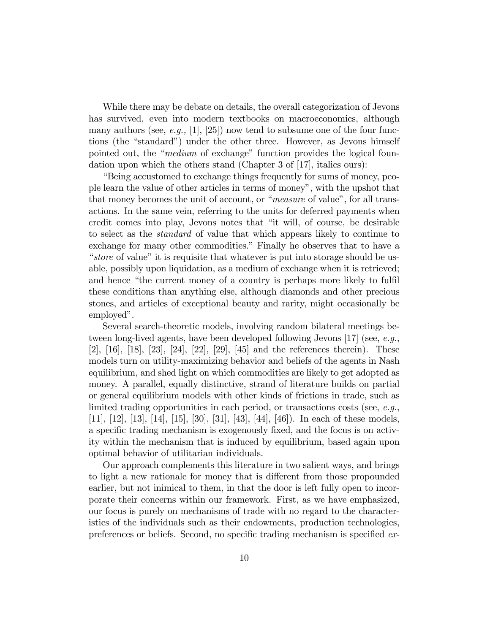While there may be debate on details, the overall categorization of Jevons has survived, even into modern textbooks on macroeconomics, although many authors (see, e.g., [1], [25]) now tend to subsume one of the four functions (the "standard") under the other three. However, as Jevons himself pointed out, the "*medium* of exchange" function provides the logical foundation upon which the others stand (Chapter 3 of [17], italics ours):

Elemmia accustomed to exchange things frequently for sums of money, people learn the value of other articles in terms of moneyî, with the upshot that that money becomes the unit of account, or " $measure$  of value", for all transactions. In the same vein, referring to the units for deferred payments when credit comes into play, Jevons notes that "it will, of course, be desirable to select as the standard of value that which appears likely to continue to exchange for many other commodities." Finally he observes that to have a "store of value" it is requisite that whatever is put into storage should be usable, possibly upon liquidation, as a medium of exchange when it is retrieved; and hence "the current money of a country is perhaps more likely to fulfil these conditions than anything else, although diamonds and other precious stones, and articles of exceptional beauty and rarity, might occasionally be employed".

Several search-theoretic models, involving random bilateral meetings between long-lived agents, have been developed following Jevons [17] (see, e.g., [2], [16], [18], [23], [24], [22], [29], [45] and the references therein). These models turn on utility-maximizing behavior and beliefs of the agents in Nash equilibrium, and shed light on which commodities are likely to get adopted as money. A parallel, equally distinctive, strand of literature builds on partial or general equilibrium models with other kinds of frictions in trade, such as limited trading opportunities in each period, or transactions costs (see, e.g., [11], [12], [13], [14], [15], [30], [31], [43], [44], [46]). In each of these models, a specific trading mechanism is exogenously fixed, and the focus is on activity within the mechanism that is induced by equilibrium, based again upon optimal behavior of utilitarian individuals.

Our approach complements this literature in two salient ways, and brings to light a new rationale for money that is different from those propounded earlier, but not inimical to them, in that the door is left fully open to incorporate their concerns within our framework. First, as we have emphasized, our focus is purely on mechanisms of trade with no regard to the characteristics of the individuals such as their endowments, production technologies, preferences or beliefs. Second, no specific trading mechanism is specified ex-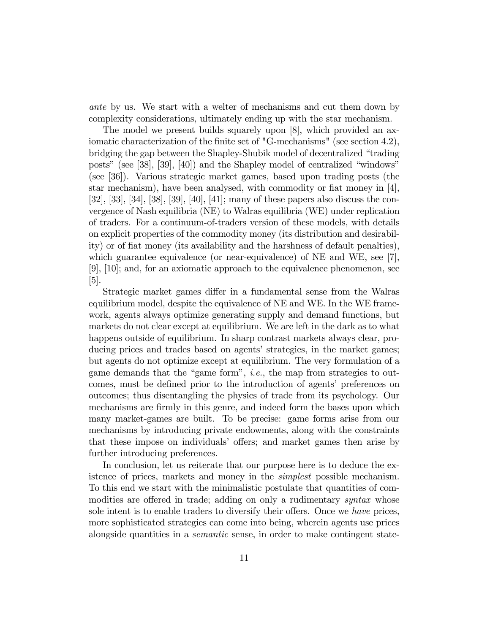ante by us. We start with a welter of mechanisms and cut them down by complexity considerations, ultimately ending up with the star mechanism.

The model we present builds squarely upon [8], which provided an axiomatic characterization of the finite set of "G-mechanisms" (see section 4.2), bridging the gap between the Shapley-Shubik model of decentralized "trading" posts" (see  $[38]$ ,  $[39]$ ,  $[40]$ ) and the Shapley model of centralized "windows" (see [36]). Various strategic market games, based upon trading posts (the star mechanism), have been analysed, with commodity or fiat money in  $[4]$ , [32], [33], [34], [38], [39], [40], [41]; many of these papers also discuss the convergence of Nash equilibria (NE) to Walras equilibria (WE) under replication of traders. For a continuum-of-traders version of these models, with details on explicit properties of the commodity money (its distribution and desirability) or of fiat money (its availability and the harshness of default penalties), which guarantee equivalence (or near-equivalence) of NE and WE, see [7], [9], [10]; and, for an axiomatic approach to the equivalence phenomenon, see  $|5|$ .

Strategic market games differ in a fundamental sense from the Walras equilibrium model, despite the equivalence of NE and WE. In the WE framework, agents always optimize generating supply and demand functions, but markets do not clear except at equilibrium. We are left in the dark as to what happens outside of equilibrium. In sharp contrast markets always clear, producing prices and trades based on agents' strategies, in the market games; but agents do not optimize except at equilibrium. The very formulation of a game demands that the "game form", *i.e.*, the map from strategies to outcomes, must be defined prior to the introduction of agents' preferences on outcomes; thus disentangling the physics of trade from its psychology. Our mechanisms are firmly in this genre, and indeed form the bases upon which many market-games are built. To be precise: game forms arise from our mechanisms by introducing private endowments, along with the constraints that these impose on individuals' offers; and market games then arise by further introducing preferences.

In conclusion, let us reiterate that our purpose here is to deduce the existence of prices, markets and money in the simplest possible mechanism. To this end we start with the minimalistic postulate that quantities of commodities are offered in trade; adding on only a rudimentary *syntax* whose sole intent is to enable traders to diversify their offers. Once we have prices, more sophisticated strategies can come into being, wherein agents use prices alongside quantities in a semantic sense, in order to make contingent state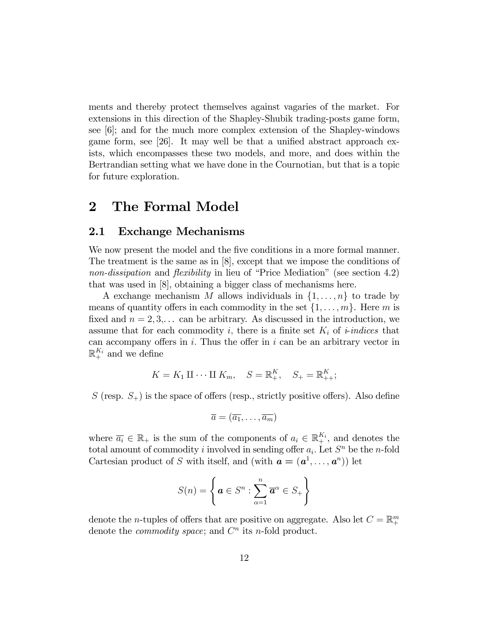ments and thereby protect themselves against vagaries of the market. For extensions in this direction of the Shapley-Shubik trading-posts game form, see  $|6|$ ; and for the much more complex extension of the Shapley-windows game form, see [26]. It may well be that a unified abstract approach exists, which encompasses these two models, and more, and does within the Bertrandian setting what we have done in the Cournotian, but that is a topic for future exploration.

# 2 The Formal Model

#### 2.1 Exchange Mechanisms

We now present the model and the five conditions in a more formal manner. The treatment is the same as in [8], except that we impose the conditions of non-dissipation and flexibility in lieu of "Price Mediation" (see section 4.2) that was used in [8], obtaining a bigger class of mechanisms here.

A exchange mechanism M allows individuals in  $\{1, \ldots, n\}$  to trade by means of quantity offers in each commodity in the set  $\{1, \ldots, m\}$ . Here m is fixed and  $n = 2, 3, \ldots$  can be arbitrary. As discussed in the introduction, we assume that for each commodity i, there is a finite set  $K_i$  of *i*-indices that can accompany offers in  $i$ . Thus the offer in  $i$  can be an arbitrary vector in  $\mathbb{R}^{K_i}_+$  and we define

$$
K = K_1 \amalg \cdots \amalg K_m, \quad S = \mathbb{R}_+^K, \quad S_+ = \mathbb{R}_{++}^K;
$$

S (resp.  $S_+$ ) is the space of offers (resp., strictly positive offers). Also define

$$
\overline{a}=(\overline{a_1},\ldots,\overline{a_m})
$$

where  $\overline{a_i} \in \mathbb{R}_+$  is the sum of the components of  $a_i \in \mathbb{R}_+^{K_i}$ , and denotes the total amount of commodity i involved in sending offer  $a_i$ . Let  $S<sup>n</sup>$  be the *n*-fold Cartesian product of S with itself, and (with  $a = (a^1, \ldots, a^n)$ ) let

$$
S(n) = \left\{ \boldsymbol{a} \in S^n : \sum_{\alpha=1}^n \overline{\boldsymbol{a}}^{\alpha} \in S_+ \right\}
$$

denote the *n*-tuples of offers that are positive on aggregate. Also let  $C = \mathbb{R}^m_+$ denote the *commodity space*; and  $C<sup>n</sup>$  its *n*-fold product.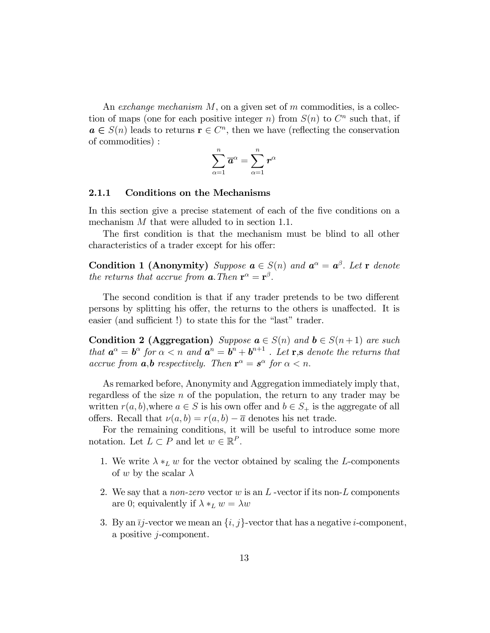An exchange mechanism  $M$ , on a given set of m commodities, is a collection of maps (one for each positive integer n) from  $S(n)$  to  $C<sup>n</sup>$  such that, if  $a \in S(n)$  leads to returns  $r \in C<sup>n</sup>$ , then we have (reflecting the conservation of commodities) :

$$
\sum_{\alpha=1}^n \overline{a}^\alpha = \sum_{\alpha=1}^n r^\alpha
$$

#### 2.1.1 Conditions on the Mechanisms

In this section give a precise statement of each of the five conditions on a mechanism M that were alluded to in section 1.1.

The first condition is that the mechanism must be blind to all other characteristics of a trader except for his offer:

**Condition 1 (Anonymity)** Suppose  $\mathbf{a} \in S(n)$  and  $\mathbf{a}^{\alpha} = \mathbf{a}^{\beta}$ . Let r denote the returns that accrue from  $\mathbf{a}$ . Then  $\mathbf{r}^{\alpha} = \mathbf{r}^{\beta}$ .

The second condition is that if any trader pretends to be two different persons by splitting his offer, the returns to the others is unaffected. It is easier (and sufficient !) to state this for the "last" trader.

Condition 2 (Aggregation) Suppose  $a \in S(n)$  and  $b \in S(n+1)$  are such that  $a^{\alpha} = b^{\alpha}$  for  $\alpha < n$  and  $a^{n} = b^{n} + b^{n+1}$ . Let **r**, **s** denote the returns that accrue from  $a,b$  respectively. Then  $\mathbf{r}^{\alpha} = \mathbf{s}^{\alpha}$  for  $\alpha < n$ .

As remarked before, Anonymity and Aggregation immediately imply that, regardless of the size  $n$  of the population, the return to any trader may be written  $r(a, b)$ , where  $a \in S$  is his own offer and  $b \in S_+$  is the aggregate of all offers. Recall that  $\nu(a, b) = r(a, b) - \overline{a}$  denotes his net trade.

For the remaining conditions, it will be useful to introduce some more notation. Let  $L \subset P$  and let  $w \in \mathbb{R}^P$ .

- 1. We write  $\lambda *_{L} w$  for the vector obtained by scaling the L-components of w by the scalar  $\lambda$
- 2. We say that a *non-zero* vector w is an  $L$ -vector if its non- $L$  components are 0; equivalently if  $\lambda *_{L} w = \lambda w$
- 3. By an  $\overline{ij}$ -vector we mean an  $\{i, j\}$ -vector that has a negative *i*-component, a positive j-component.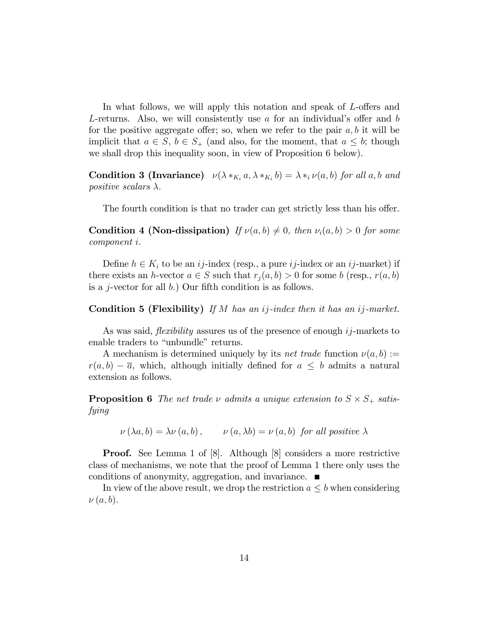In what follows, we will apply this notation and speak of  $L$ -offers and L-returns. Also, we will consistently use  $a$  for an individual's offer and  $b$ for the positive aggregate offer; so, when we refer to the pair  $a, b$  it will be implicit that  $a \in S$ ,  $b \in S_+$  (and also, for the moment, that  $a \leq b$ ; though we shall drop this inequality soon, in view of Proposition 6 below).

**Condition 3 (Invariance)**  $\nu(\lambda *_{K_i} a, \lambda *_{K_i} b) = \lambda *_{i} \nu(a, b)$  for all a, b and positive scalars  $\lambda$ .

The fourth condition is that no trader can get strictly less than his offer.

**Condition 4 (Non-dissipation)** If  $\nu(a, b) \neq 0$ , then  $\nu_i(a, b) > 0$  for some component i:

Define  $h \in K_i$  to be an ij-index (resp., a pure ij-index or an ij-market) if there exists an h-vector  $a \in S$  such that  $r_i(a, b) > 0$  for some b (resp.,  $r(a, b)$ ) is a *j*-vector for all  $b$ .) Our fifth condition is as follows.

**Condition 5 (Flexibility)** If M has an ij-index then it has an ij-market.

As was said, *flexibility* assures us of the presence of enough  $ij$ -markets to enable traders to "unbundle" returns.

A mechanism is determined uniquely by its *net trade* function  $\nu(a, b) :=$  $r(a, b) - \overline{a}$ , which, although initially defined for  $a \leq b$  admits a natural extension as follows.

**Proposition 6** The net trade  $\nu$  admits a unique extension to  $S \times S_+$  satisfying

 $\nu(\lambda a, b) = \lambda \nu(a, b), \qquad \nu(a, \lambda b) = \nu(a, b)$  for all positive  $\lambda$ 

**Proof.** See Lemma 1 of [8]. Although [8] considers a more restrictive class of mechanisms, we note that the proof of Lemma 1 there only uses the conditions of anonymity, aggregation, and invariance.

In view of the above result, we drop the restriction  $a \leq b$  when considering  $\nu(a, b)$ .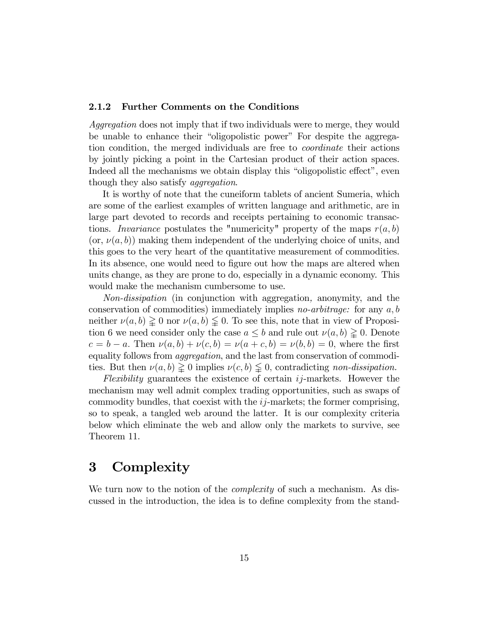#### 2.1.2 Further Comments on the Conditions

Aggregation does not imply that if two individuals were to merge, they would be unable to enhance their "oligopolistic power" For despite the aggregation condition, the merged individuals are free to coordinate their actions by jointly picking a point in the Cartesian product of their action spaces. Indeed all the mechanisms we obtain display this "oligopolistic effect", even though they also satisfy *aggregation*.

It is worthy of note that the cuneiform tablets of ancient Sumeria, which are some of the earliest examples of written language and arithmetic, are in large part devoted to records and receipts pertaining to economic transactions. Invariance postulates the "numericity" property of the maps  $r(a, b)$  $(\alpha, \nu(a, b))$  making them independent of the underlying choice of units, and this goes to the very heart of the quantitative measurement of commodities. In its absence, one would need to figure out how the maps are altered when units change, as they are prone to do, especially in a dynamic economy. This would make the mechanism cumbersome to use.

Non-dissipation (in conjunction with aggregation, anonymity, and the conservation of commodities) immediately implies *no-arbitrage*: for any  $a, b$ neither  $\nu(a, b) \geq 0$  nor  $\nu(a, b) \leq 0$ . To see this, note that in view of Proposition 6 we need consider only the case  $a \leq b$  and rule out  $\nu(a, b) \geq 0$ . Denote  $c = b - a$ . Then  $\nu(a, b) + \nu(c, b) = \nu(a + c, b) = \nu(b, b) = 0$ , where the first equality follows from aggregation, and the last from conservation of commodities. But then  $\nu(a, b) \geq 0$  implies  $\nu(c, b) \leq 0$ , contradicting non-dissipation.

Flexibility guarantees the existence of certain ij-markets. However the mechanism may well admit complex trading opportunities, such as swaps of commodity bundles, that coexist with the  $ij$ -markets; the former comprising, so to speak, a tangled web around the latter. It is our complexity criteria below which eliminate the web and allow only the markets to survive, see Theorem 11.

# 3 Complexity

We turn now to the notion of the *complexity* of such a mechanism. As discussed in the introduction, the idea is to define complexity from the stand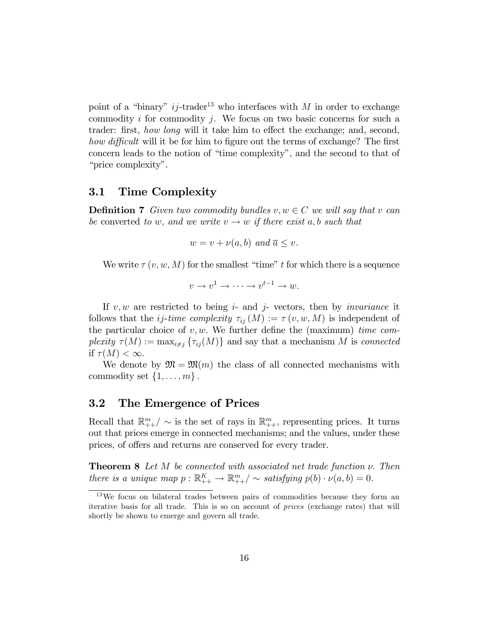point of a "binary"  $ij$ -trader<sup>13</sup> who interfaces with M in order to exchange commodity  $i$  for commodity  $j$ . We focus on two basic concerns for such a trader: first, how long will it take him to effect the exchange; and, second, how difficult will it be for him to figure out the terms of exchange? The first concern leads to the notion of "time complexity", and the second to that of "price complexity".

#### 3.1 Time Complexity

**Definition 7** Given two commodity bundles  $v, w \in C$  we will say that v can be converted to w, and we write  $v \rightarrow w$  if there exist a, b such that

$$
w = v + \nu(a, b) \text{ and } \overline{a} \le v.
$$

We write  $\tau(v, w, M)$  for the smallest "time" t for which there is a sequence

$$
v \to v^1 \to \cdots \to v^{t-1} \to w.
$$

If  $v, w$  are restricted to being  $i$ - and  $j$ - vectors, then by *invariance* it follows that the *ij-time complexity*  $\tau_{ij}(M) := \tau(v, w, M)$  is independent of the particular choice of  $v, w$ . We further define the (maximum) time complexity  $\tau(M) := \max_{i \neq j} {\tau_{ij}(M)}$  and say that a mechanism M is connected if  $\tau(M) < \infty$ .

We denote by  $\mathfrak{M} = \mathfrak{M}(m)$  the class of all connected mechanisms with commodity set  $\{1, \ldots, m\}$ .

#### 3.2 The Emergence of Prices

Recall that  $\mathbb{R}_{++}^m / \sim$  is the set of rays in  $\mathbb{R}_{++}^m$ , representing prices. It turns out that prices emerge in connected mechanisms; and the values, under these prices, of offers and returns are conserved for every trader.

**Theorem 8** Let  $M$  be connected with associated net trade function  $\nu$ . Then there is a unique map  $p : \mathbb{R}_{++}^K \to \mathbb{R}_{++}^m / \sim$  satisfying  $p(b) \cdot \nu(a, b) = 0$ .

<sup>13</sup>We focus on bilateral trades between pairs of commodities because they form an iterative basis for all trade. This is so on account of prices (exchange rates) that will shortly be shown to emerge and govern all trade.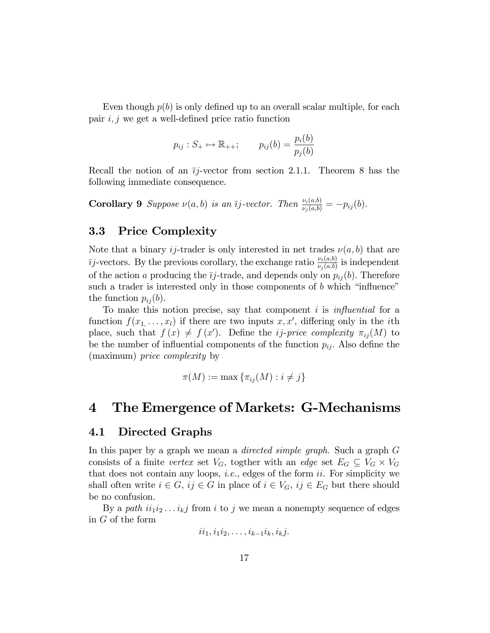Even though  $p(b)$  is only defined up to an overall scalar multiple, for each pair  $i, j$  we get a well-defined price ratio function

$$
p_{ij}: S_+ \mapsto \mathbb{R}_{++};
$$
  $p_{ij}(b) = \frac{p_i(b)}{p_j(b)}$ 

Recall the notion of an  $\overline{i}j$ -vector from section 2.1.1. Theorem 8 has the following immediate consequence.

**Corollary 9** Suppose  $\nu(a, b)$  is an  $\overline{i}j$ -vector. Then  $\frac{\nu_i(a, b)}{\nu_j(a, b)} = -p_{ij}(b)$ .

#### 3.3 Price Complexity

Note that a binary ij-trader is only interested in net trades  $\nu(a, b)$  that are  $\bar{y}$ -vectors. By the previous corollary, the exchange ratio  $\frac{\nu_i(a,b)}{\nu_j(a,b)}$  is independent of the action a producing the  $\overline{ij}$ -trade, and depends only on  $p_{ij}(b)$ . Therefore such a trader is interested only in those components of  $b$  which "influence" the function  $p_{ij}(b)$ .

To make this notion precise, say that component  $i$  is *influential* for a function  $f(x_1, \ldots, x_l)$  if there are two inputs  $x, x'$ , differing only in the *i*th place, such that  $f(x) \neq f(x')$ . Define the *ij-price complexity*  $\pi_{ij}(M)$  to be the number of influential components of the function  $p_{ij}$ . Also define the (maximum) price complexity by

$$
\pi(M) := \max \{ \pi_{ij}(M) : i \neq j \}
$$

### 4 The Emergence of Markets: G-Mechanisms

#### 4.1 Directed Graphs

In this paper by a graph we mean a *directed simple graph*. Such a graph G consists of a finite vertex set  $V_G$ , togther with an edge set  $E_G \subseteq V_G \times V_G$ that does not contain any loops, i.e., edges of the form ii. For simplicity we shall often write  $i \in G$ ,  $ij \in G$  in place of  $i \in V_G$ ,  $ij \in E_G$  but there should be no confusion.

By a path  $ii_1i_2...i_kj$  from i to j we mean a nonempty sequence of edges in G of the form

$$
ii_1,i_1i_2,\ldots,i_{k-1}i_k,i_kj.
$$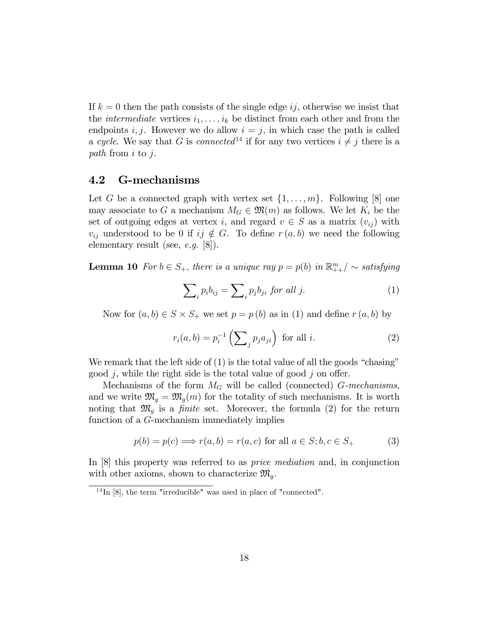If  $k = 0$  then the path consists of the single edge ij, otherwise we insist that the *intermediate* vertices  $i_1, \ldots, i_k$  be distinct from each other and from the endpoints i, j. However we do allow  $i = j$ , in which case the path is called a cycle. We say that G is connected<sup>14</sup> if for any two vertices  $i \neq j$  there is a path from i to j.

#### 4.2 G-mechanisms

Let G be a connected graph with vertex set  $\{1, \ldots, m\}$ . Following [8] one may associate to G a mechanism  $M_G \in \mathfrak{M}(m)$  as follows. We let  $K_i$  be the set of outgoing edges at vertex i, and regard  $v \in S$  as a matrix  $(v_{ij})$  with  $v_{ij}$  understood to be 0 if  $ij \notin G$ . To define  $r(a, b)$  we need the following elementary result (see, e.g. [8]).

**Lemma 10** For  $b \in S_+$ , there is a unique ray  $p = p(b)$  in  $\mathbb{R}^m_{++}/\sim$  satisfying

$$
\sum_{i} p_i b_{ij} = \sum_{i} p_j b_{ji} \text{ for all } j.
$$
 (1)

Now for  $(a, b) \in S \times S_+$  we set  $p = p(b)$  as in (1) and define  $r(a, b)$  by

$$
r_i(a,b) = p_i^{-1}\left(\sum_j p_j a_{ji}\right) \text{ for all } i. \tag{2}
$$

We remark that the left side of  $(1)$  is the total value of all the goods "chasing" good j, while the right side is the total value of good j on offer.

Mechanisms of the form  $M_G$  will be called (connected) G-mechanisms, and we write  $\mathfrak{M}_g = \mathfrak{M}_g(m)$  for the totality of such mechanisms. It is worth noting that  $\mathfrak{M}_q$  is a *finite* set. Moreover, the formula (2) for the return function of a G-mechanism immediately implies

$$
p(b) = p(c) \Longrightarrow r(a, b) = r(a, c) \text{ for all } a \in S; b, c \in S_+ \tag{3}
$$

In [8] this property was referred to as price mediation and, in conjunction with other axioms, shown to characterize  $\mathfrak{M}_q$ .

 $14$  In [8], the term "irreducible" was used in place of "connected".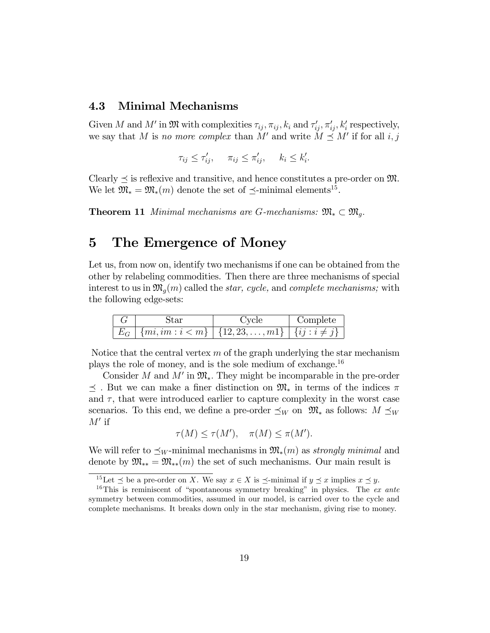#### 4.3 Minimal Mechanisms

Given M and M' in  $\mathfrak{M}$  with complexities  $\tau_{ij}$ ,  $\pi_{ij}$ ,  $k_i$  and  $\tau'_{ij}$ ,  $\pi'_{ij}$ ,  $k'_i$  respectively, we say that M is no more complex than M' and write  $M \preceq M'$  if for all  $i, j$ 

$$
\tau_{ij} \le \tau'_{ij}, \quad \pi_{ij} \le \pi'_{ij}, \quad k_i \le k'_i.
$$

Clearly  $\preceq$  is reflexive and transitive, and hence constitutes a pre-order on M. We let  $\mathfrak{M}_* = \mathfrak{M}_*(m)$  denote the set of  $\preceq$ -minimal elements<sup>15</sup>.

**Theorem 11** Minimal mechanisms are G-mechanisms:  $\mathfrak{M}_{*} \subset \mathfrak{M}_{q}$ .

# 5 The Emergence of Money

Let us, from now on, identify two mechanisms if one can be obtained from the other by relabeling commodities. Then there are three mechanisms of special interest to us in  $\mathfrak{M}_q(m)$  called the *star, cycle,* and *complete mechanisms*; with the following edge-sets:

|                                                                         | Complete |
|-------------------------------------------------------------------------|----------|
| $E_G$   $\{mi, im : i < m\}$   $\{12, 23, , m1\}$   $\{ij : i \neq j\}$ |          |

Notice that the central vertex  $m$  of the graph underlying the star mechanism plays the role of money, and is the sole medium of exchange.<sup>16</sup>

Consider M and  $M'$  in  $\mathfrak{M}_*$ . They might be incomparable in the pre-order  $\prec$ . But we can make a finer distinction on  $\mathfrak{M}_{*}$  in terms of the indices  $\pi$ and  $\tau$ , that were introduced earlier to capture complexity in the worst case scenarios. To this end, we define a pre-order  $\preceq_W$  on  $\mathfrak{M}_*$  as follows:  $M \preceq_W$  $M'$  if

$$
\tau(M) \le \tau(M'), \quad \pi(M) \le \pi(M').
$$

We will refer to  $\preceq_W$ -minimal mechanisms in  $\mathfrak{M}_*(m)$  as strongly minimal and denote by  $\mathfrak{M}_{**} = \mathfrak{M}_{**}(m)$  the set of such mechanisms. Our main result is

<sup>&</sup>lt;sup>15</sup>Let  $\preceq$  be a pre-order on X. We say  $x \in X$  is  $\preceq$ -minimal if  $y \preceq x$  implies  $x \preceq y$ .

<sup>&</sup>lt;sup>16</sup>This is reminiscent of "spontaneous symmetry breaking" in physics. The ex ante symmetry between commodities, assumed in our model, is carried over to the cycle and complete mechanisms. It breaks down only in the star mechanism, giving rise to money.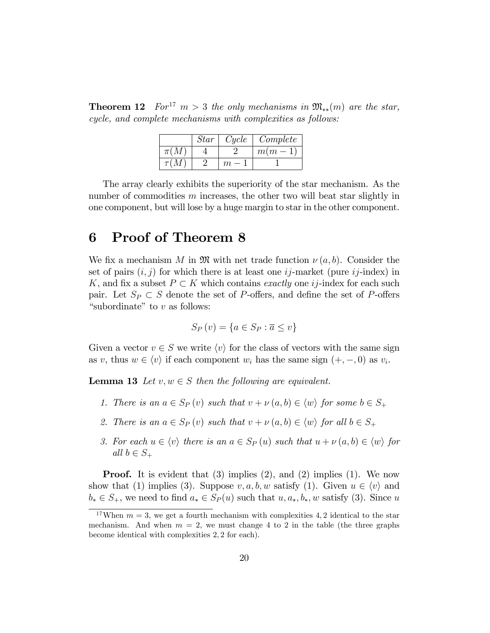**Theorem 12** For<sup>17</sup>  $m > 3$  the only mechanisms in  $\mathfrak{M}_{**}(m)$  are the star, cycle, and complete mechanisms with complexities as follows:

|          | Star | Cycle | Complete  |
|----------|------|-------|-----------|
| $\pi(M)$ |      |       | $m(m - )$ |
|          |      |       |           |

The array clearly exhibits the superiority of the star mechanism. As the number of commodities  $m$  increases, the other two will beat star slightly in one component, but will lose by a huge margin to star in the other component.

# 6 Proof of Theorem 8

We fix a mechanism M in  $\mathfrak{M}$  with net trade function  $\nu(a, b)$ . Consider the set of pairs  $(i, j)$  for which there is at least one  $ij$ -market (pure  $ij$ -index) in K, and fix a subset  $P \subset K$  which contains exactly one ij-index for each such pair. Let  $S_P \subset S$  denote the set of P-offers, and define the set of P-offers "subordinate" to  $v$  as follows:

$$
S_P(v) = \{a \in S_P : \overline{a} \le v\}
$$

Given a vector  $v \in S$  we write  $\langle v \rangle$  for the class of vectors with the same sign as v, thus  $w \in \langle v \rangle$  if each component  $w_i$  has the same sign  $(+, -, 0)$  as  $v_i$ .

**Lemma 13** Let  $v, w \in S$  then the following are equivalent.

- 1. There is an  $a \in S_P(v)$  such that  $v + \nu(a, b) \in \langle w \rangle$  for some  $b \in S_+$
- 2. There is an  $a \in S_P(v)$  such that  $v + \nu(a, b) \in \langle w \rangle$  for all  $b \in S_+$
- 3. For each  $u \in \langle v \rangle$  there is an  $a \in S_P(u)$  such that  $u + \nu(a, b) \in \langle w \rangle$  for all  $b \in S_+$

**Proof.** It is evident that  $(3)$  implies  $(2)$ , and  $(2)$  implies  $(1)$ . We now show that (1) implies (3). Suppose  $v, a, b, w$  satisfy (1). Given  $u \in \langle v \rangle$  and  $b_* \in S_+$ , we need to find  $a_* \in S_P(u)$  such that  $u, a_*, b_*, w$  satisfy (3). Since u

<sup>&</sup>lt;sup>17</sup>When  $m = 3$ , we get a fourth mechanism with complexities 4, 2 identical to the star mechanism. And when  $m = 2$ , we must change 4 to 2 in the table (the three graphs become identical with complexities 2; 2 for each).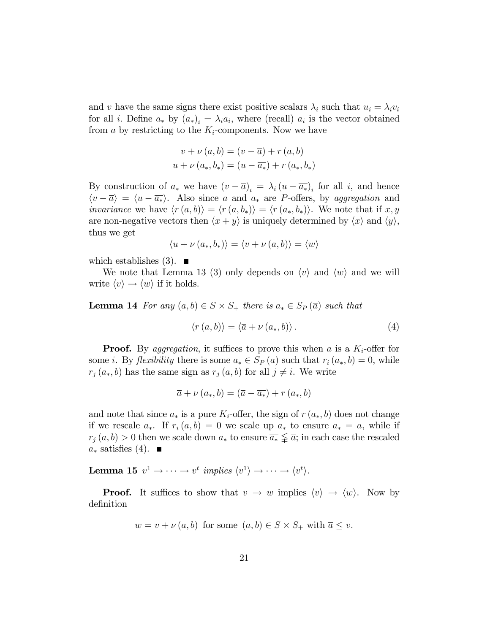and v have the same signs there exist positive scalars  $\lambda_i$  such that  $u_i = \lambda_i v_i$ for all *i*. Define  $a_*$  by  $(a_*)_i = \lambda_i a_i$ , where (recall)  $a_i$  is the vector obtained from a by restricting to the  $K_i$ -components. Now we have

$$
v + \nu(a, b) = (v - \overline{a}) + r(a, b)
$$
  

$$
u + \nu(a_*, b_*) = (u - \overline{a_*}) + r(a_*, b_*)
$$

By construction of  $a_*$  we have  $(v - \overline{a})_i = \lambda_i (u - \overline{a_*})_i$  for all i, and hence  $\langle v - \overline{a} \rangle = \langle u - \overline{a_*} \rangle$ . Also since a and  $a_*$  are P-offers, by aggregation and *invariance* we have  $\langle r(a, b) \rangle = \langle r(a, b_*) \rangle = \langle r(a_*, b_*) \rangle$ . We note that if x, y are non-negative vectors then  $\langle x + y \rangle$  is uniquely determined by  $\langle x \rangle$  and  $\langle y \rangle$ , thus we get

$$
\langle u + \nu (a_*, b_*) \rangle = \langle v + \nu (a, b) \rangle = \langle w \rangle
$$

which establishes  $(3)$ .

We note that Lemma 13 (3) only depends on  $\langle v \rangle$  and  $\langle w \rangle$  and we will write  $\langle v \rangle \rightarrow \langle w \rangle$  if it holds.

**Lemma 14** For any  $(a, b) \in S \times S_+$  there is  $a_* \in S_P(\overline{a})$  such that

$$
\langle r(a,b)\rangle = \langle \overline{a} + \nu(a_*,b)\rangle.
$$
 (4)

**Proof.** By aggregation, it suffices to prove this when a is a  $K_i$ -offer for some *i*. By *flexibility* there is some  $a_* \in S_P(\overline{a})$  such that  $r_i(a_*,b) = 0$ , while  $r_j(a_*,b)$  has the same sign as  $r_j(a,b)$  for all  $j \neq i$ . We write

$$
\overline{a} + \nu(a_*,b) = (\overline{a} - \overline{a_*}) + r(a_*,b)
$$

and note that since  $a_*$  is a pure  $K_i$ -offer, the sign of  $r(a_*,b)$  does not change if we rescale  $a_*$ . If  $r_i(a,b) = 0$  we scale up  $a_*$  to ensure  $\overline{a_*} = \overline{a}$ , while if  $r_j(a, b) > 0$  then we scale down  $a_*$  to ensure  $\overline{a_*} \leq \overline{a}$ ; in each case the rescaled  $a_*$  satisfies (4).  $\blacksquare$ 

**Lemma 15**  $v^1 \to \cdots \to v^t$  implies  $\langle v^1 \rangle \to \cdots \to \langle v^t \rangle$ .

**Proof.** It suffices to show that  $v \to w$  implies  $\langle v \rangle \to \langle w \rangle$ . Now by definition

$$
w = v + \nu(a, b)
$$
 for some  $(a, b) \in S \times S_+$  with  $\overline{a} \le v$ .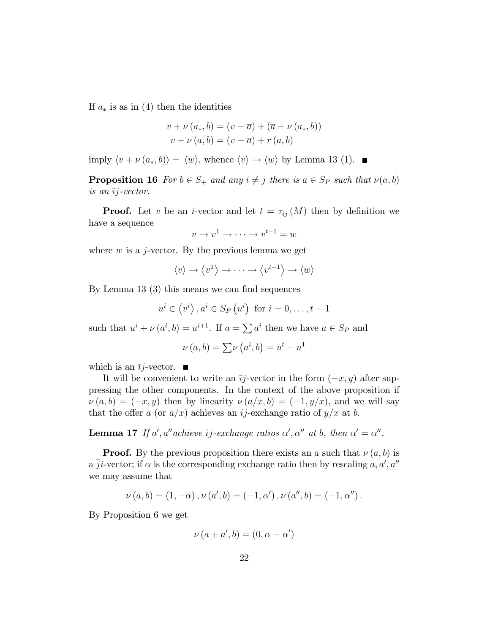If  $a_*$  is as in (4) then the identities

$$
v + \nu (a_*, b) = (v - \overline{a}) + (\overline{a} + \nu (a_*, b))
$$
  

$$
v + \nu (a, b) = (v - \overline{a}) + r (a, b)
$$

imply  $\langle v + \nu (a_*, b) \rangle = \langle w \rangle$ , whence  $\langle v \rangle \rightarrow \langle w \rangle$  by Lemma 13 (1).

**Proposition 16** For  $b \in S_+$  and any  $i \neq j$  there is  $a \in S_P$  such that  $\nu(a, b)$ is an  $\overline{ij}$ -vector.

**Proof.** Let v be an *i*-vector and let  $t = \tau_{ij} (M)$  then by definition we have a sequence

$$
v \to v^1 \to \cdots \to v^{t-1} = w
$$

where  $w$  is a j-vector. By the previous lemma we get

$$
\langle v \rangle \to \langle v^1 \rangle \to \cdots \to \langle v^{t-1} \rangle \to \langle w \rangle
$$

By Lemma 13  $(3)$  this means we can find sequences

$$
u^{i} \in \langle v^{i} \rangle, a^{i} \in S_{P}(u^{i})
$$
 for  $i = 0, ..., t - 1$ 

such that  $u^i + \nu (a^i, b) = u^{i+1}$ . If  $a = \sum a^i$  then we have  $a \in S_P$  and

$$
\nu(a,b) = \sum \nu(a^i, b) = u^t - u^1
$$

which is an  $\overline{i}j$ -vector.  $\blacksquare$ 

It will be convenient to write an  $\overline{i}j$ -vector in the form  $(-x, y)$  after suppressing the other components. In the context of the above proposition if  $\nu(a, b) = (-x, y)$  then by linearity  $\nu(a/x, b) = (-1, y/x)$ , and we will say that the offer a (or  $a/x$ ) achieves an ij-exchange ratio of  $y/x$  at b.

**Lemma 17** If a', a'' achieve ij-exchange ratios  $\alpha'$ ,  $\alpha''$  at b, then  $\alpha' = \alpha''$ .

**Proof.** By the previous proposition there exists an a such that  $\nu(a, b)$  is a  $\overline{j}i$ -vector; if  $\alpha$  is the corresponding exchange ratio then by rescaling  $a, a', a''$ we may assume that

$$
\nu(a, b) = (1, -\alpha), \nu(a', b) = (-1, \alpha'), \nu(a'', b) = (-1, \alpha'').
$$

By Proposition 6 we get

$$
\nu(a+a',b)=(0,\alpha-\alpha')
$$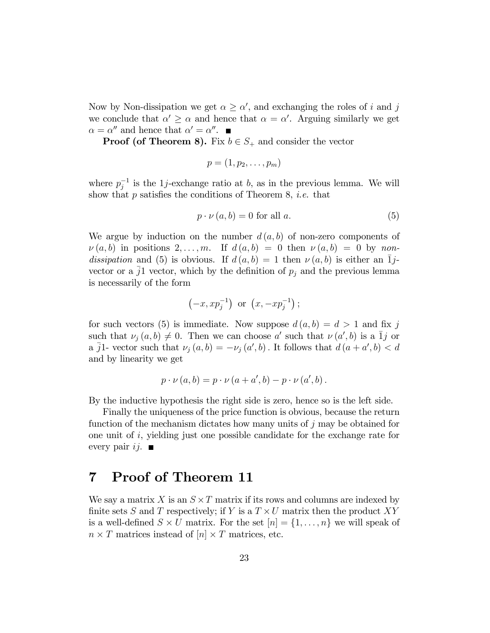Now by Non-dissipation we get  $\alpha \geq \alpha'$ , and exchanging the roles of i and j we conclude that  $\alpha' \geq \alpha$  and hence that  $\alpha = \alpha'$ . Arguing similarly we get  $\alpha = \alpha''$  and hence that  $\alpha' = \alpha''$ .

**Proof (of Theorem 8).** Fix  $b \in S_+$  and consider the vector

$$
p=(1,p_2,\ldots,p_m)
$$

where  $p_j^{-1}$  is the 1*j*-exchange ratio at b, as in the previous lemma. We will show that  $p$  satisfies the conditions of Theorem 8, *i.e.* that

$$
p \cdot \nu(a, b) = 0 \text{ for all } a. \tag{5}
$$

We argue by induction on the number  $d(a, b)$  of non-zero components of  $\nu(a, b)$  in positions  $2, \ldots, m$ . If  $d(a, b) = 0$  then  $\nu(a, b) = 0$  by nondissipation and (5) is obvious. If  $d(a, b) = 1$  then  $\nu(a, b)$  is either an  $\overline{1}j$ vector or a  $j1$  vector, which by the definition of  $p_j$  and the previous lemma is necessarily of the form

$$
(-x, xp_j^{-1})
$$
 or  $(x, -xp_j^{-1})$ ;

for such vectors (5) is immediate. Now suppose  $d(a, b) = d > 1$  and fix j such that  $\nu_j (a, b) \neq 0$ . Then we can choose a' such that  $\nu (a', b)$  is a  $\overline{1}j$  or a  $\overline{j}$ 1- vector such that  $\nu_j(a, b) = -\nu_j (a', b)$ . It follows that  $d (a + a', b) < d$ and by linearity we get

$$
p \cdot \nu(a, b) = p \cdot \nu(a + a', b) - p \cdot \nu(a', b).
$$

By the inductive hypothesis the right side is zero, hence so is the left side.

Finally the uniqueness of the price function is obvious, because the return function of the mechanism dictates how many units of j may be obtained for one unit of  $i$ , yielding just one possible candidate for the exchange rate for every pair  $ij$ .

# 7 Proof of Theorem 11

We say a matrix X is an  $S \times T$  matrix if its rows and columns are indexed by finite sets S and T respectively; if Y is a  $T \times U$  matrix then the product XY is a well-defined  $S \times U$  matrix. For the set  $[n] = \{1, \ldots, n\}$  we will speak of  $n \times T$  matrices instead of  $[n] \times T$  matrices, etc.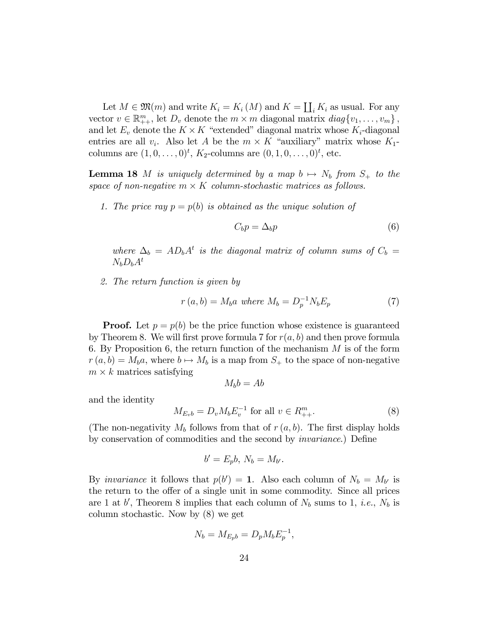Let  $M \in \mathfrak{M}(m)$  and write  $K_i = K_i(M)$  and  $K = \coprod_i K_i$  as usual. For any vector  $v \in \mathbb{R}_{++}^m$ , let  $D_v$  denote the  $m \times m$  diagonal matrix  $diag\{v_1, \ldots, v_m\}$ , and let  $E_v$  denote the  $K \times K$  "extended" diagonal matrix whose  $K_i$ -diagonal entries are all  $v_i$ . Also let A be the  $m \times K$  "auxiliary" matrix whose  $K_1$ columns are  $(1, 0, \ldots, 0)^t$ ,  $K_2$ -columns are  $(0, 1, 0, \ldots, 0)^t$ , etc.

**Lemma 18** M is uniquely determined by a map  $b \mapsto N_b$  from  $S_+$  to the space of non-negative  $m \times K$  column-stochastic matrices as follows.

1. The price ray  $p = p(b)$  is obtained as the unique solution of

$$
C_b p = \Delta_b p \tag{6}
$$

where  $\Delta_b = AD_bA^t$  is the diagonal matrix of column sums of  $C_b =$  $N_bD_bA^t$ 

2. The return function is given by

$$
r(a,b) = M_b a \text{ where } M_b = D_p^{-1} N_b E_p \tag{7}
$$

**Proof.** Let  $p = p(b)$  be the price function whose existence is guaranteed by Theorem 8. We will first prove formula 7 for  $r(a, b)$  and then prove formula 6. By Proposition 6, the return function of the mechanism  $M$  is of the form  $r(a, b) = M_b a$ , where  $b \mapsto M_b$  is a map from  $S_+$  to the space of non-negative  $m \times k$  matrices satisfying

$$
M_b b = Ab
$$

and the identity

$$
M_{E_v b} = D_v M_b E_v^{-1} \text{ for all } v \in R_{++}^m.
$$
 (8)

(The non-negativity  $M_b$  follows from that of  $r(a, b)$ . The first display holds by conservation of commodities and the second by *invariance*.) Define

$$
b'=E_pb, N_b=M_{b'}.
$$

By *invariance* it follows that  $p(b') = 1$ . Also each column of  $N_b = M_{b'}$  is the return to the offer of a single unit in some commodity. Since all prices are 1 at b', Theorem 8 implies that each column of  $N_b$  sums to 1, *i.e.*,  $N_b$  is column stochastic. Now by (8) we get

$$
N_b = M_{E_p b} = D_p M_b E_p^{-1},
$$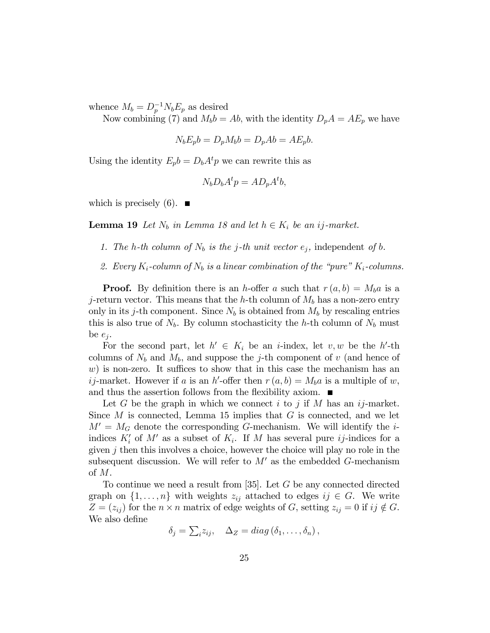whence  $M_b = D_p^{-1} N_b E_p$  as desired

Now combining (7) and  $M_b b = Ab$ , with the identity  $D_p A = AE_p$  we have

$$
N_b E_p b = D_p M_b b = D_p A b = A E_p b.
$$

Using the identity  $E_p b = D_b A^t p$  we can rewrite this as

$$
N_b D_b A^t p = A D_p A^t b,
$$

which is precisely  $(6)$ .

**Lemma 19** Let  $N_b$  in Lemma 18 and let  $h \in K_i$  be an ij-market.

- 1. The h-th column of  $N_b$  is the j-th unit vector  $e_j$ , independent of b.
- 2. Every  $K_i$ -column of  $N_b$  is a linear combination of the "pure"  $K_i$ -columns.

**Proof.** By definition there is an h-offer a such that  $r(a, b) = M_b a$  is a j-return vector. This means that the h-th column of  $M_b$  has a non-zero entry only in its j-th component. Since  $N_b$  is obtained from  $M_b$  by rescaling entries this is also true of  $N_b$ . By column stochasticity the h-th column of  $N_b$  must be  $e_j$ .

For the second part, let  $h' \in K_i$  be an *i*-index, let v, w be the h'-th columns of  $N_b$  and  $M_b$ , and suppose the j-th component of v (and hence of  $w$ ) is non-zero. It suffices to show that in this case the mechanism has an *ij*-market. However if a is an h'-offer then  $r(a, b) = M_b a$  is a multiple of w, and thus the assertion follows from the flexibility axiom.  $\blacksquare$ 

Let G be the graph in which we connect  $i$  to  $j$  if M has an  $ij$ -market. Since  $M$  is connected, Lemma 15 implies that  $G$  is connected, and we let  $M' = M_G$  denote the corresponding G-mechanism. We will identify the *i*indices  $K_i'$  of M' as a subset of  $K_i$ . If M has several pure *ij*-indices for a given  $j$  then this involves a choice, however the choice will play no role in the subsequent discussion. We will refer to  $M'$  as the embedded G-mechanism of M.

To continue we need a result from [35]. Let G be any connected directed graph on  $\{1, \ldots, n\}$  with weights  $z_{ij}$  attached to edges  $ij \in G$ . We write  $Z = (z_{ij})$  for the  $n \times n$  matrix of edge weights of G, setting  $z_{ij} = 0$  if  $ij \notin G$ . We also define

$$
\delta_j = \sum_i z_{ij}, \quad \Delta_Z = diag\left(\delta_1, \ldots, \delta_n\right),
$$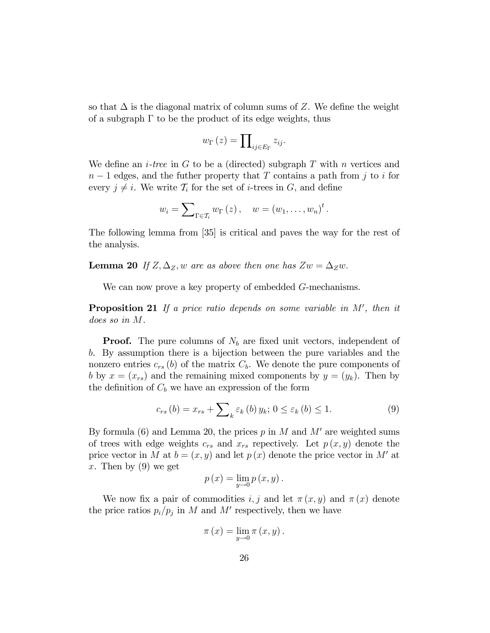so that  $\Delta$  is the diagonal matrix of column sums of Z. We define the weight of a subgraph  $\Gamma$  to be the product of its edge weights, thus

$$
w_{\Gamma}\left(z\right)=\prod\nolimits_{ij\in E_{\Gamma}}z_{ij}.
$$

We define an *i*-tree in G to be a (directed) subgraph T with n vertices and  $n-1$  edges, and the futher property that T contains a path from j to i for every  $j \neq i$ . We write  $\mathcal{T}_i$  for the set of *i*-trees in G, and define

$$
w_i = \sum_{\Gamma \in \mathcal{T}_i} w_{\Gamma}(z), \quad w = (w_1, \dots, w_n)^t.
$$

The following lemma from [35] is critical and paves the way for the rest of the analysis.

**Lemma 20** If  $Z, \Delta_Z, w$  are as above then one has  $Zw = \Delta_Z w$ .

We can now prove a key property of embedded G-mechanisms.

**Proposition 21** If a price ratio depends on some variable in  $M'$ , then it does so in M.

**Proof.** The pure columns of  $N_b$  are fixed unit vectors, independent of b. By assumption there is a bijection between the pure variables and the nonzero entries  $c_{rs}$  (b) of the matrix  $C_b$ . We denote the pure components of b by  $x = (x_{rs})$  and the remaining mixed components by  $y = (y_k)$ . Then by the definition of  $C_b$  we have an expression of the form

$$
c_{rs}(b) = x_{rs} + \sum_{k} \varepsilon_{k}(b) y_{k}; 0 \le \varepsilon_{k}(b) \le 1.
$$
 (9)

By formula (6) and Lemma 20, the prices p in M and  $M'$  are weighted sums of trees with edge weights  $c_{rs}$  and  $x_{rs}$  repectively. Let  $p(x, y)$  denote the price vector in M at  $b = (x, y)$  and let  $p(x)$  denote the price vector in M' at x. Then by  $(9)$  we get

$$
p(x) = \lim_{y \to 0} p(x, y).
$$

We now fix a pair of commodities i, j and let  $\pi(x, y)$  and  $\pi(x)$  denote the price ratios  $p_i/p_j$  in M and M' respectively, then we have

$$
\pi(x) = \lim_{y \to 0} \pi(x, y).
$$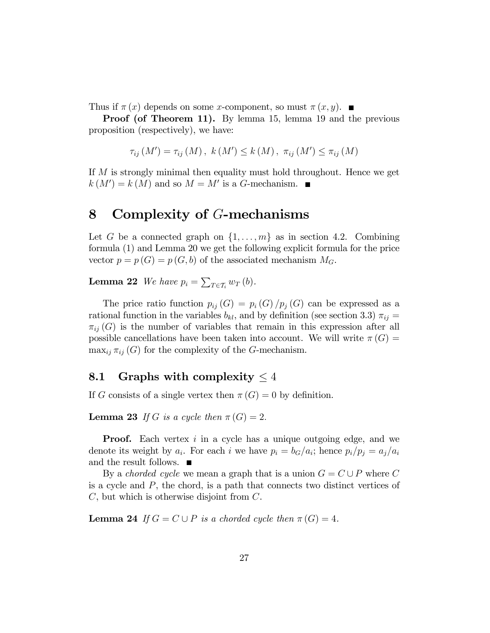Thus if  $\pi(x)$  depends on some x-component, so must  $\pi(x, y)$ .

Proof (of Theorem 11). By lemma 15, lemma 19 and the previous proposition (respectively), we have:

$$
\tau_{ij}(M') = \tau_{ij}(M), \ k(M') \leq k(M), \ \pi_{ij}(M') \leq \pi_{ij}(M)
$$

If M is strongly minimal then equality must hold throughout. Hence we get  $k(M') = k(M)$  and so  $M = M'$  is a G-mechanism.

# 8 Complexity of G-mechanisms

Let G be a connected graph on  $\{1, \ldots, m\}$  as in section 4.2. Combining formula (1) and Lemma 20 we get the following explicit formula for the price vector  $p = p(G) = p(G, b)$  of the associated mechanism  $M_G$ .

**Lemma 22** We have  $p_i = \sum_{T \in \mathcal{T}_i} w_T(b)$ .

The price ratio function  $p_{ij}(G) = p_i(G)/p_j(G)$  can be expressed as a rational function in the variables  $b_{kl}$ , and by definition (see section 3.3)  $\pi_{ij}$  =  $\pi_{ij}(G)$  is the number of variables that remain in this expression after all possible cancellations have been taken into account. We will write  $\pi(G)$  =  $\max_{ij} \pi_{ij}(G)$  for the complexity of the G-mechanism.

#### 8.1 Graphs with complexity  $\leq 4$

If G consists of a single vertex then  $\pi(G) = 0$  by definition.

**Lemma 23** If G is a cycle then  $\pi(G) = 2$ .

**Proof.** Each vertex i in a cycle has a unique outgoing edge, and we denote its weight by  $a_i$ . For each i we have  $p_i = b_G/a_i$ ; hence  $p_i/p_j = a_j/a_i$ and the result follows. ■

By a *chorded cycle* we mean a graph that is a union  $G = C \cup P$  where C is a cycle and P, the chord, is a path that connects two distinct vertices of C, but which is otherwise disjoint from C.

**Lemma 24** If  $G = C \cup P$  is a chorded cycle then  $\pi(G) = 4$ .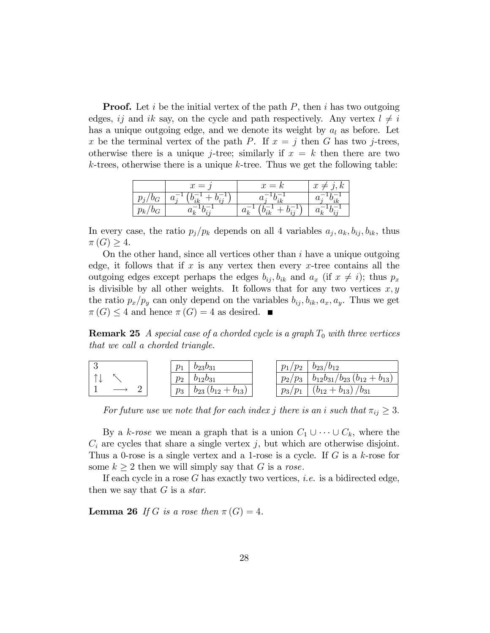**Proof.** Let i be the initial vertex of the path  $P$ , then i has two outgoing edges, ij and ik say, on the cycle and path respectively. Any vertex  $l \neq i$ has a unique outgoing edge, and we denote its weight by  $a_l$  as before. Let x be the terminal vertex of the path P. If  $x = j$  then G has two j-trees, otherwise there is a unique *j*-tree; similarly if  $x = k$  then there are two  $k$ -trees, otherwise there is a unique  $k$ -tree. Thus we get the following table:

|   | $=$ | $x = \kappa$<br>$\mathcal{L}$ | $\overline{1}$<br>u |
|---|-----|-------------------------------|---------------------|
|   |     |                               |                     |
| k |     |                               |                     |

In every case, the ratio  $p_j/p_k$  depends on all 4 variables  $a_j, a_k, b_{ij}, b_{ik}$ , thus  $\pi(G) \geq 4.$ 

On the other hand, since all vertices other than  $i$  have a unique outgoing edge, it follows that if  $x$  is any vertex then every  $x$ -tree contains all the outgoing edges except perhaps the edges  $b_{ij}$ ,  $b_{ik}$  and  $a_x$  (if  $x \neq i$ ); thus  $p_x$ is divisible by all other weights. It follows that for any two vertices  $x, y$ the ratio  $p_x/p_y$  can only depend on the variables  $b_{ij}, b_{ik}, a_x, a_y$ . Thus we get  $\pi(G) \leq 4$  and hence  $\pi(G) = 4$  as desired.

**Remark 25** A special case of a chorded cycle is a graph  $T_0$  with three vertices that we call a chorded triangle.

|   | $p_1$<br>$b_{23}b_{31}$               | $p_1/p_2$<br>$b_{23}/b_{12}$                      |
|---|---------------------------------------|---------------------------------------------------|
| ᄉ | $p_2$<br>$b_{12}b_{31}$               | $b_{12}b_{31}/b_{23}(b_{12}+b_{13})$<br>$p_2/p_3$ |
|   | $b_{23}$ $(b_{12} + b_{13})$<br>$p_3$ | $/b_{31}$<br>$p_3/p_1$<br>$(b_{12}+b_{13})$       |

For future use we note that for each index j there is an i such that  $\pi_{ij} \geq 3$ .

By a k-rose we mean a graph that is a union  $C_1 \cup \cdots \cup C_k$ , where the  $C_i$  are cycles that share a single vertex j, but which are otherwise disjoint. Thus a 0-rose is a single vertex and a 1-rose is a cycle. If  $G$  is a  $k$ -rose for some  $k \geq 2$  then we will simply say that G is a rose.

If each cycle in a rose  $G$  has exactly two vertices, *i.e.* is a bidirected edge, then we say that  $G$  is a *star*.

**Lemma 26** If G is a rose then  $\pi(G) = 4$ .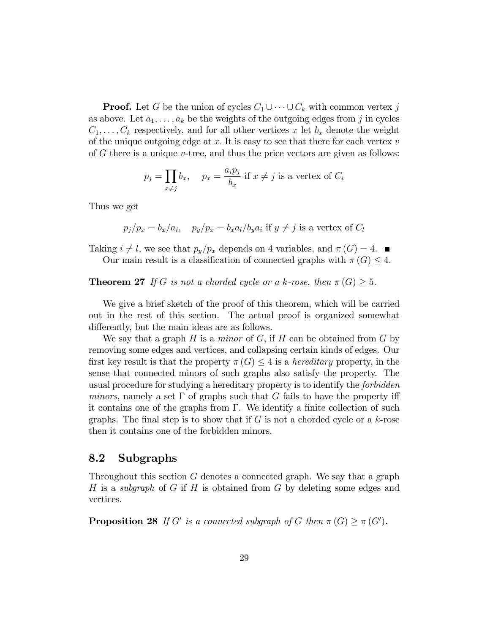**Proof.** Let G be the union of cycles  $C_1 \cup \cdots \cup C_k$  with common vertex j as above. Let  $a_1, \ldots, a_k$  be the weights of the outgoing edges from j in cycles  $C_1, \ldots, C_k$  respectively, and for all other vertices x let  $b_x$  denote the weight of the unique outgoing edge at  $x$ . It is easy to see that there for each vertex  $v$ of  $G$  there is a unique  $v$ -tree, and thus the price vectors are given as follows:

$$
p_j = \prod_{x \neq j} b_x
$$
,  $p_x = \frac{a_i p_j}{b_x}$  if  $x \neq j$  is a vertex of  $C_i$ 

Thus we get

$$
p_j/p_x = b_x/a_i
$$
,  $p_y/p_x = b_x a_l/b_y a_i$  if  $y \neq j$  is a vertex of  $C_l$ 

Taking  $i \neq l$ , we see that  $p_y/p_x$  depends on 4 variables, and  $\pi(G) = 4$ .

Our main result is a classification of connected graphs with  $\pi(G) \leq 4$ .

**Theorem 27** If G is not a chorded cycle or a k-rose, then  $\pi(G) \geq 5$ .

We give a brief sketch of the proof of this theorem, which will be carried out in the rest of this section. The actual proof is organized somewhat differently, but the main ideas are as follows.

We say that a graph  $H$  is a *minor* of  $G$ , if  $H$  can be obtained from  $G$  by removing some edges and vertices, and collapsing certain kinds of edges. Our first key result is that the property  $\pi(G) \leq 4$  is a *hereditary* property, in the sense that connected minors of such graphs also satisfy the property. The usual procedure for studying a hereditary property is to identify the forbidden minors, namely a set  $\Gamma$  of graphs such that G fails to have the property iff it contains one of the graphs from  $\Gamma$ . We identify a finite collection of such graphs. The final step is to show that if  $G$  is not a chorded cycle or a  $k$ -rose then it contains one of the forbidden minors.

#### 8.2 Subgraphs

Throughout this section G denotes a connected graph. We say that a graph H is a subgraph of G if H is obtained from G by deleting some edges and vertices.

**Proposition 28** If G' is a connected subgraph of G then  $\pi(G) \geq \pi(G')$ .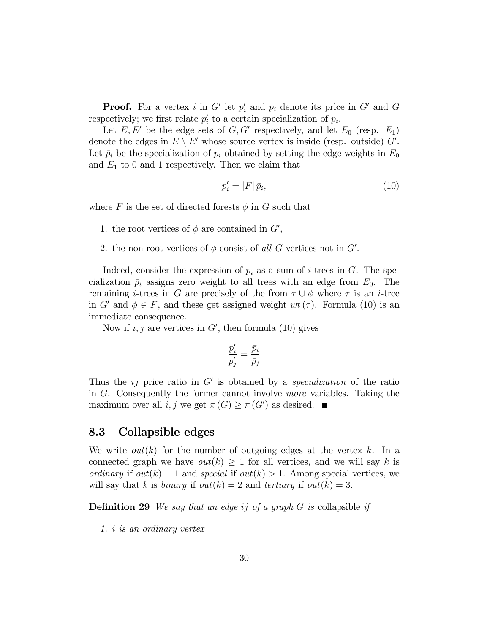**Proof.** For a vertex i in G' let  $p'_i$  and  $p_i$  denote its price in G' and G respectively; we first relate  $p_i'$  to a certain specialization of  $p_i$ .

Let  $E, E'$  be the edge sets of  $G, G'$  respectively, and let  $E_0$  (resp.  $E_1$ ) denote the edges in  $E \setminus E'$  whose source vertex is inside (resp. outside)  $G'$ . Let  $\bar{p}_i$  be the specialization of  $p_i$  obtained by setting the edge weights in  $E_0$ and  $E_1$  to 0 and 1 respectively. Then we claim that

$$
p_i' = |F|\bar{p}_i,\tag{10}
$$

where F is the set of directed forests  $\phi$  in G such that

- 1. the root vertices of  $\phi$  are contained in  $G'$ ,
- 2. the non-root vertices of  $\phi$  consist of all G-vertices not in  $G'$ .

Indeed, consider the expression of  $p_i$  as a sum of *i*-trees in  $G$ . The specialization  $\bar{p}_i$  assigns zero weight to all trees with an edge from  $E_0$ . The remaining *i*-trees in G are precisely of the from  $\tau \cup \phi$  where  $\tau$  is an *i*-tree in G' and  $\phi \in F$ , and these get assigned weight  $wt(\tau)$ . Formula (10) is an immediate consequence.

Now if  $i, j$  are vertices in  $G'$ , then formula (10) gives

$$
\frac{p_i'}{p_j'} = \frac{\bar{p}_i}{\bar{p}_j}
$$

Thus the  $ij$  price ratio in  $G'$  is obtained by a *specialization* of the ratio in G. Consequently the former cannot involve more variables. Taking the maximum over all  $i, j$  we get  $\pi(G) \geq \pi(G')$  as desired.

#### 8.3 Collapsible edges

We write  $out(k)$  for the number of outgoing edges at the vertex k. In a connected graph we have  $out(k) \geq 1$  for all vertices, and we will say k is ordinary if out(k) = 1 and special if out(k) > 1. Among special vertices, we will say that k is binary if  $out(k) = 2$  and tertiary if  $out(k) = 3$ .

**Definition 29** We say that an edge ij of a graph  $G$  is collapsible if

1. i is an ordinary vertex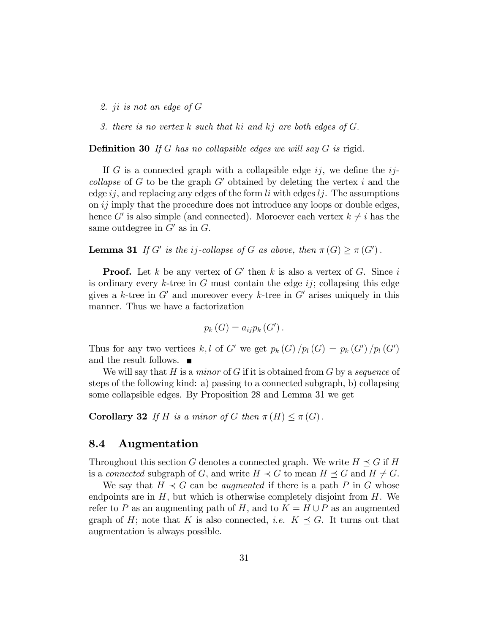- 2. ji is not an edge of G
- 3. there is no vertex  $k$  such that  $ki$  and  $kj$  are both edges of  $G$ .

**Definition 30** If G has no collapsible edges we will say  $G$  is rigid.

If G is a connected graph with a collapsible edge  $ij$ , we define the  $ij$ collapse of G to be the graph  $G'$  obtained by deleting the vertex i and the edge  $ij$ , and replacing any edges of the form li with edges  $lj$ . The assumptions on  $ij$  imply that the procedure does not introduce any loops or double edges, hence G' is also simple (and connected). Moroever each vertex  $k \neq i$  has the same outdegree in  $G'$  as in  $G$ .

**Lemma 31** If G' is the ij-collapse of G as above, then  $\pi(G) \geq \pi(G')$ .

**Proof.** Let k be any vertex of G' then k is also a vertex of G. Since i is ordinary every k-tree in G must contain the edge  $ij$ ; collapsing this edge gives a k-tree in  $G'$  and moreover every k-tree in  $G'$  arises uniquely in this manner. Thus we have a factorization

$$
p_{k}(G)=a_{ij}p_{k}(G').
$$

Thus for any two vertices k, l of G' we get  $p_k(G)/p_l(G) = p_k(G')/p_l(G')$ and the result follows.

We will say that  $H$  is a *minor* of  $G$  if it is obtained from  $G$  by a *sequence* of steps of the following kind: a) passing to a connected subgraph, b) collapsing some collapsible edges. By Proposition 28 and Lemma 31 we get

**Corollary 32** If H is a minor of G then  $\pi(H) \leq \pi(G)$ .

#### 8.4 Augmentation

Throughout this section G denotes a connected graph. We write  $H \preceq G$  if H is a connected subgraph of G, and write  $H \prec G$  to mean  $H \preceq G$  and  $H \neq G$ .

We say that  $H \prec G$  can be *augmented* if there is a path P in G whose endpoints are in  $H$ , but which is otherwise completely disjoint from  $H$ . We refer to P as an augmenting path of H, and to  $K = H \cup P$  as an augmented graph of H; note that K is also connected, *i.e.*  $K \preceq G$ . It turns out that augmentation is always possible.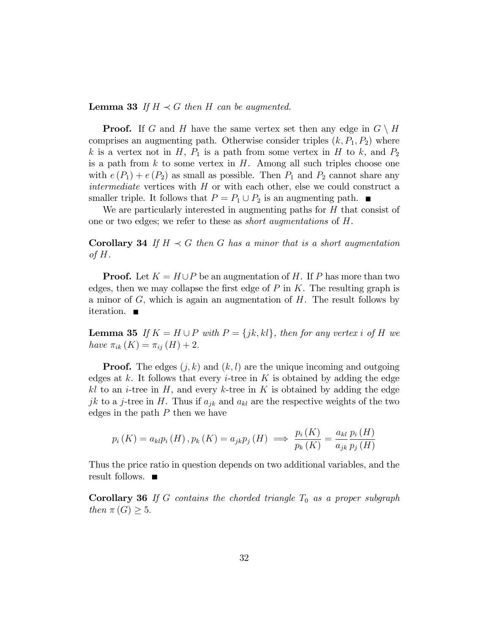**Lemma 33** If  $H \prec G$  then H can be augmented.

**Proof.** If G and H have the same vertex set then any edge in  $G \setminus H$ comprises an augmenting path. Otherwise consider triples  $(k, P_1, P_2)$  where k is a vertex not in H,  $P_1$  is a path from some vertex in H to k, and  $P_2$ is a path from  $k$  to some vertex in  $H$ . Among all such triples choose one with  $e(P_1) + e(P_2)$  as small as possible. Then  $P_1$  and  $P_2$  cannot share any *intermediate* vertices with  $H$  or with each other, else we could construct a smaller triple. It follows that  $P = P_1 \cup P_2$  is an augmenting path.

We are particularly interested in augmenting paths for  $H$  that consist of one or two edges; we refer to these as short augmentations of H.

**Corollary 34** If  $H \prec G$  then G has a minor that is a short augmentation of  $H$ .

**Proof.** Let  $K = H \cup P$  be an augmentation of H. If P has more than two edges, then we may collapse the first edge of  $P$  in  $K$ . The resulting graph is a minor of  $G$ , which is again an augmentation of  $H$ . The result follows by iteration.  $\blacksquare$ 

**Lemma 35** If  $K = H \cup P$  with  $P = \{jk, kl\}$ , then for any vertex i of H we have  $\pi_{ik} (K) = \pi_{ij} (H) + 2.$ 

**Proof.** The edges  $(j, k)$  and  $(k, l)$  are the unique incoming and outgoing edges at  $k$ . It follows that every *i*-tree in  $K$  is obtained by adding the edge kl to an *i*-tree in  $H$ , and every k-tree in  $K$  is obtained by adding the edge jk to a j-tree in H. Thus if  $a_{jk}$  and  $a_{kl}$  are the respective weights of the two edges in the path  $P$  then we have

$$
p_i(K) = a_{kl}p_i(H), p_k(K) = a_{jk}p_j(H) \implies \frac{p_i(K)}{p_k(K)} = \frac{a_{kl}}{a_{jk}}\frac{p_i(H)}{p_j(H)}
$$

Thus the price ratio in question depends on two additional variables, and the result follows.  $\blacksquare$ 

**Corollary 36** If G contains the chorded triangle  $T_0$  as a proper subgraph then  $\pi(G) \geq 5$ .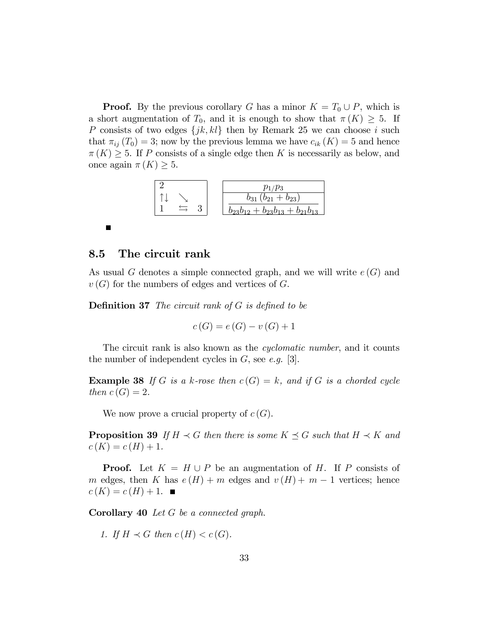**Proof.** By the previous corollary G has a minor  $K = T_0 \cup P$ , which is a short augmentation of  $T_0$ , and it is enough to show that  $\pi(K) \geq 5$ . If P consists of two edges  $\{jk, kl\}$  then by Remark 25 we can choose i such that  $\pi_{ij} (T_0) = 3$ ; now by the previous lemma we have  $c_{ik} (K) = 5$  and hence  $\pi(K) \geq 5$ . If P consists of a single edge then K is necessarily as below, and once again  $\pi(K) \geq 5$ .



### 8.5 The circuit rank

П

As usual G denotes a simple connected graph, and we will write  $e(G)$  and  $v(G)$  for the numbers of edges and vertices of G.

**Definition 37** The circuit rank of  $G$  is defined to be

$$
c(G) = e(G) - v(G) + 1
$$

The circuit rank is also known as the *cyclomatic number*, and it counts the number of independent cycles in  $G$ , see e.g. [3].

**Example 38** If G is a k-rose then  $c(G) = k$ , and if G is a chorded cycle then  $c(G) = 2$ .

We now prove a crucial property of  $c(G)$ .

**Proposition 39** If  $H \prec G$  then there is some  $K \preceq G$  such that  $H \prec K$  and  $c(K) = c(H) + 1.$ 

**Proof.** Let  $K = H \cup P$  be an augmentation of H. If P consists of m edges, then K has  $e(H) + m$  edges and  $v(H) + m - 1$  vertices; hence  $c(K) = c(H) + 1.$ 

Corollary 40 Let G be a connected graph.

1. If  $H \prec G$  then  $c(H) < c(G)$ .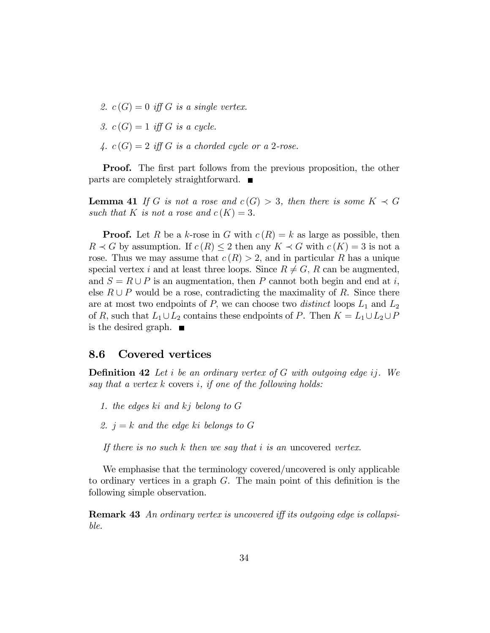- 2.  $c(G) = 0$  iff G is a single vertex.
- 3.  $c(G) = 1$  iff G is a cycle.
- 4.  $c(G) = 2$  iff G is a chorded cycle or a 2-rose.

**Proof.** The first part follows from the previous proposition, the other parts are completely straightforward.  $\blacksquare$ 

**Lemma 41** If G is not a rose and  $c(G) > 3$ , then there is some  $K \prec G$ such that K is not a rose and  $c(K) = 3$ .

**Proof.** Let R be a k-rose in G with  $c(R) = k$  as large as possible, then  $R \prec G$  by assumption. If  $c(R) \leq 2$  then any  $K \prec G$  with  $c(K) = 3$  is not a rose. Thus we may assume that  $c(R) > 2$ , and in particular R has a unique special vertex i and at least three loops. Since  $R \neq G$ , R can be augmented, and  $S = R \cup P$  is an augmentation, then P cannot both begin and end at i, else  $R \cup P$  would be a rose, contradicting the maximality of R. Since there are at most two endpoints of P, we can choose two *distinct* loops  $L_1$  and  $L_2$ of R, such that  $L_1\cup L_2$  contains these endpoints of P. Then  $K = L_1\cup L_2\cup P$ is the desired graph.  $\blacksquare$ 

#### 8.6 Covered vertices

**Definition 42** Let i be an ordinary vertex of  $G$  with outgoing edge ij. We say that a vertex  $k$  covers  $i$ , if one of the following holds:

- 1. the edges ki and kj belong to G
- 2.  $j = k$  and the edge ki belongs to G

If there is no such  $k$  then we say that i is an uncovered vertex.

We emphasise that the terminology covered/uncovered is only applicable to ordinary vertices in a graph  $G$ . The main point of this definition is the following simple observation.

**Remark 43** An ordinary vertex is uncovered iff its outgoing edge is collapsible.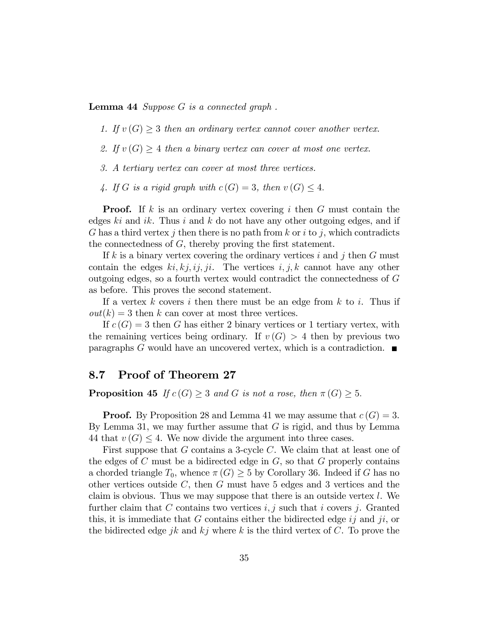Lemma 44 Suppose G is a connected graph.

- 1. If  $v(G) \geq 3$  then an ordinary vertex cannot cover another vertex.
- 2. If  $v(G) \geq 4$  then a binary vertex can cover at most one vertex.
- 3. A tertiary vertex can cover at most three vertices.
- 4. If G is a rigid graph with  $c(G) = 3$ , then  $v(G) \leq 4$ .

**Proof.** If k is an ordinary vertex covering i then G must contain the edges  $ki$  and  $ik$ . Thus i and k do not have any other outgoing edges, and if G has a third vertex j then there is no path from k or i to j, which contradicts the connectedness of  $G$ , thereby proving the first statement.

If k is a binary vertex covering the ordinary vertices i and j then  $G$  must contain the edges  $ki, kj, ij, ji$ . The vertices  $i, j, k$  cannot have any other outgoing edges, so a fourth vertex would contradict the connectedness of G as before. This proves the second statement.

If a vertex k covers i then there must be an edge from k to i. Thus if  $out(k) = 3$  then k can cover at most three vertices.

If  $c(G) = 3$  then G has either 2 binary vertices or 1 tertiary vertex, with the remaining vertices being ordinary. If  $v(G) > 4$  then by previous two paragraphs G would have an uncovered vertex, which is a contradiction.  $\blacksquare$ 

#### 8.7 Proof of Theorem 27

**Proposition 45** If  $c(G) \geq 3$  and G is not a rose, then  $\pi(G) \geq 5$ .

**Proof.** By Proposition 28 and Lemma 41 we may assume that  $c(G) = 3$ . By Lemma 31, we may further assume that  $G$  is rigid, and thus by Lemma 44 that  $v(G) \leq 4$ . We now divide the argument into three cases.

First suppose that G contains a 3-cycle C. We claim that at least one of the edges of  $C$  must be a bidirected edge in  $G$ , so that  $G$  properly contains a chorded triangle  $T_0$ , whence  $\pi(G) \geq 5$  by Corollary 36. Indeed if G has no other vertices outside  $C$ , then  $G$  must have 5 edges and 3 vertices and the claim is obvious. Thus we may suppose that there is an outside vertex  $l$ . We further claim that C contains two vertices  $i, j$  such that i covers j. Granted this, it is immediate that G contains either the bidirected edge  $ij$  and  $ji$ , or the bidirected edge jk and kj where k is the third vertex of  $C$ . To prove the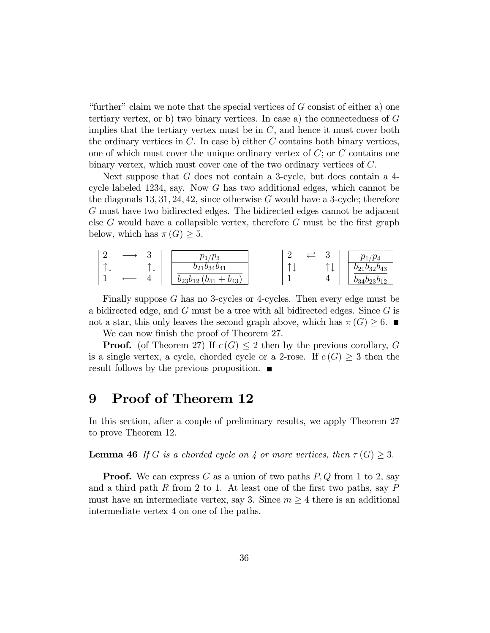"further" claim we note that the special vertices of  $G$  consist of either a) one tertiary vertex, or b) two binary vertices. In case a) the connectedness of G implies that the tertiary vertex must be in  $C$ , and hence it must cover both the ordinary vertices in  $C$ . In case b) either  $C$  contains both binary vertices, one of which must cover the unique ordinary vertex of  $C$ ; or  $C$  contains one binary vertex, which must cover one of the two ordinary vertices of C.

Next suppose that G does not contain a 3-cycle, but does contain a 4 cycle labeled 1234, say. Now G has two additional edges, which cannot be the diagonals  $13, 31, 24, 42$ , since otherwise G would have a 3-cycle; therefore G must have two bidirected edges. The bidirected edges cannot be adjacent else  $G$  would have a collapsible vertex, therefore  $G$  must be the first graph below, which has  $\pi(G) \geq 5$ .

|        |                               | $\iota p_3$<br>m                             | -                             | ∩<br>U          | $\iota p_4$<br>$\eta_{1}$ |
|--------|-------------------------------|----------------------------------------------|-------------------------------|-----------------|---------------------------|
| ᄉ<br>╰ | $\overline{\phantom{a}}$<br>飞 | $b_{21}b_{34}b_{41}$                         | $\overline{\phantom{a}}$<br>◡ | $\uparrow$<br>飞 | $b_{21}b_{32}b_{43}$      |
|        |                               | $b_{23}b_{12}$<br>$v_{43}$<br>--<br>$^{041}$ |                               | л.              |                           |

Finally suppose  $G$  has no 3-cycles or 4-cycles. Then every edge must be a bidirected edge, and G must be a tree with all bidirected edges. Since G is not a star, this only leaves the second graph above, which has  $\pi(G) \geq 6$ .

We can now finish the proof of Theorem 27.

**Proof.** (of Theorem 27) If  $c(G) \leq 2$  then by the previous corollary, G is a single vertex, a cycle, chorded cycle or a 2-rose. If  $c(G) \geq 3$  then the result follows by the previous proposition.  $\blacksquare$ 

# 9 Proof of Theorem 12

In this section, after a couple of preliminary results, we apply Theorem 27 to prove Theorem 12.

**Lemma 46** If G is a chorded cycle on 4 or more vertices, then  $\tau(G) \geq 3$ .

**Proof.** We can express G as a union of two paths  $P, Q$  from 1 to 2, say and a third path R from 2 to 1. At least one of the first two paths, say  $P$ must have an intermediate vertex, say 3. Since  $m \geq 4$  there is an additional intermediate vertex 4 on one of the paths.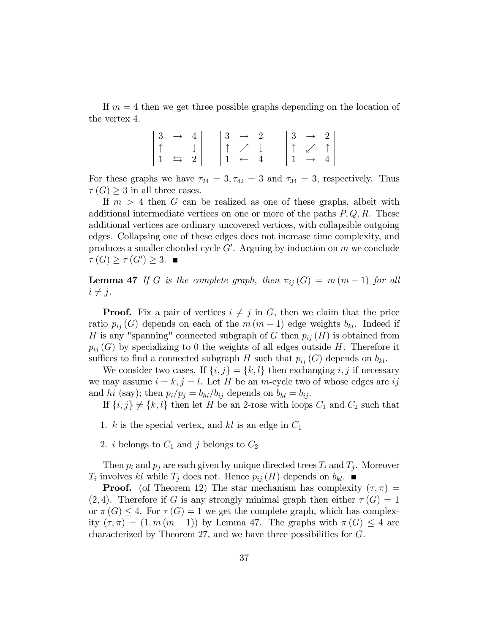If  $m = 4$  then we get three possible graphs depending on the location of the vertex 4.

For these graphs we have  $\tau_{24} = 3, \tau_{42} = 3$  and  $\tau_{34} = 3$ , respectively. Thus  $\tau(G) \geq 3$  in all three cases.

If  $m > 4$  then G can be realized as one of these graphs, albeit with additional intermediate vertices on one or more of the paths  $P, Q, R$ . These additional vertices are ordinary uncovered vertices, with collapsible outgoing edges. Collapsing one of these edges does not increase time complexity, and produces a smaller chorded cycle  $G'$ . Arguing by induction on  $m$  we conclude  $\tau(G) \geq \tau(G') \geq 3.$ 

**Lemma 47** If G is the complete graph, then  $\pi_{ij}$  (G) = m (m - 1) for all  $i \neq j$ .

**Proof.** Fix a pair of vertices  $i \neq j$  in G, then we claim that the price ratio  $p_{ij}(G)$  depends on each of the  $m (m - 1)$  edge weights  $b_{kl}$ . Indeed if H is any "spanning" connected subgraph of G then  $p_{ij}(H)$  is obtained from  $p_{ij}(G)$  by specializing to 0 the weights of all edges outside H. Therefore it suffices to find a connected subgraph H such that  $p_{ij}(G)$  depends on  $b_{kl}$ .

We consider two cases. If  $\{i, j\} = \{k, l\}$  then exchanging i, j if necessary we may assume  $i = k, j = l$ . Let H be an m-cycle two of whose edges are ij and hi (say); then  $p_i/p_j = b_{hi}/b_{ij}$  depends on  $b_{kl} = b_{ij}$ .

If  $\{i, j\} \neq \{k, l\}$  then let H be an 2-rose with loops  $C_1$  and  $C_2$  such that

- 1. k is the special vertex, and kl is an edge in  $C_1$
- 2. *i* belongs to  $C_1$  and *j* belongs to  $C_2$

Then  $p_i$  and  $p_j$  are each given by unique directed trees  $T_i$  and  $T_j$ . Moreover  $T_i$  involves kl while  $T_j$  does not. Hence  $p_{ij}(H)$  depends on  $b_{kl}$ .

**Proof.** (of Theorem 12) The star mechanism has complexity  $(\tau, \pi)$  =  $(2, 4)$ . Therefore if G is any strongly minimal graph then either  $\tau(G) = 1$ or  $\pi(G) \leq 4$ . For  $\tau(G) = 1$  we get the complete graph, which has complexity  $(\tau, \pi) = (1, m (m - 1))$  by Lemma 47. The graphs with  $\pi(G) \leq 4$  are characterized by Theorem 27, and we have three possibilities for  $G$ .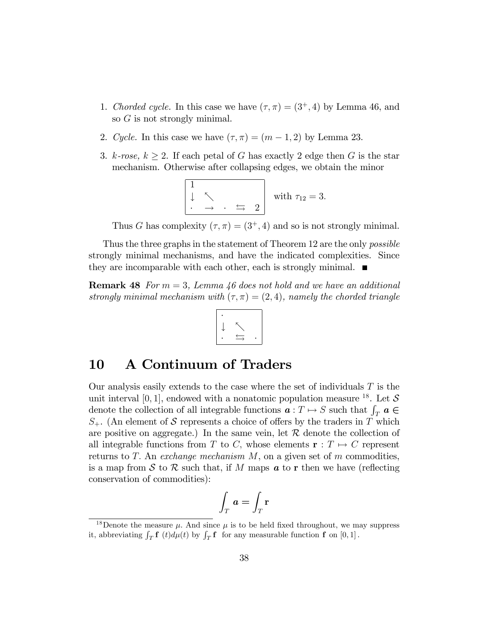- 1. Chorded cycle. In this case we have  $(\tau, \pi) = (3^+, 4)$  by Lemma 46, and so G is not strongly minimal.
- 2. Cycle. In this case we have  $(\tau, \pi) = (m 1, 2)$  by Lemma 23.
- 3. k-rose,  $k \geq 2$ . If each petal of G has exactly 2 edge then G is the star mechanism. Otherwise after collapsing edges, we obtain the minor

$$
\begin{array}{ccc} 1 & & \\ \downarrow & \nwarrow & \\ \cdot & \rightarrow & \cdot \Rightarrow & 2 \end{array} \text{ with } \tau_{12} = 3.
$$

Thus G has complexity  $(\tau, \pi) = (3^+, 4)$  and so is not strongly minimal.

Thus the three graphs in the statement of Theorem 12 are the only *possible* strongly minimal mechanisms, and have the indicated complexities. Since they are incomparable with each other, each is strongly minimal.  $\blacksquare$ 

**Remark 48** For  $m = 3$ , Lemma 46 does not hold and we have an additional strongly minimal mechanism with  $(\tau, \pi) = (2, 4)$ , namely the chorded triangle

$$
\left|\begin{array}{c}\cdot\\\cdot\\\cdot\\\cdot\\\end{array}\right|
$$

# 10 A Continuum of Traders

Our analysis easily extends to the case where the set of individuals  $T$  is the unit interval [0, 1], endowed with a nonatomic population measure <sup>18</sup>. Let S denote the collection of all integrable functions  $\boldsymbol{a} : T \mapsto S$  such that  $\int_T \boldsymbol{a} \in \mathbb{R}$  $S_{+}$ . (An element of S represents a choice of offers by the traders in T which are positive on aggregate.) In the same vein, let  $R$  denote the collection of all integrable functions from T to C, whose elements  $\mathbf{r} : T \mapsto C$  represent returns to T. An exchange mechanism  $M$ , on a given set of m commodities, is a map from S to R such that, if M maps  $\boldsymbol{a}$  to r then we have (reflecting conservation of commodities):

$$
\int_T \boldsymbol{a} = \int_T \mathbf{r}
$$

<sup>&</sup>lt;sup>18</sup>Denote the measure  $\mu$ . And since  $\mu$  is to be held fixed throughout, we may suppress it, abbreviating  $\int_T \mathbf{f}(t) d\mu(t)$  by  $\int_T \mathbf{f}(t) dt$  for any measurable function  $\mathbf{f}(0,1]$ .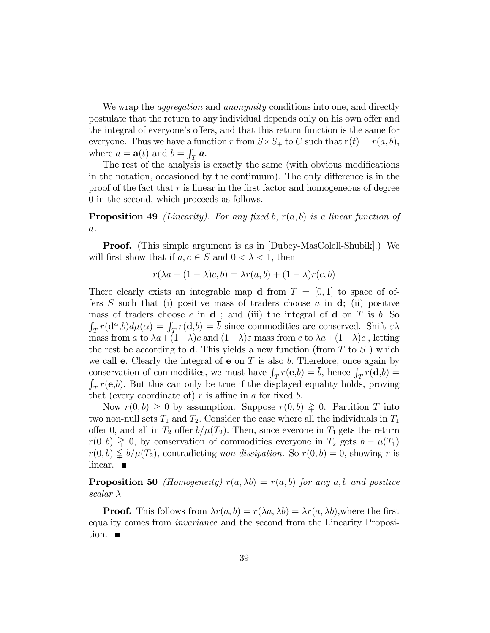We wrap the *aggregation* and *anonymity* conditions into one, and directly postulate that the return to any individual depends only on his own offer and the integral of everyone's offers, and that this return function is the same for everyone. Thus we have a function r from  $S \times S_+$  to C such that  $\mathbf{r}(t) = r(a, b)$ , where  $a = \mathbf{a}(t)$  and  $b = \int_T \mathbf{a}$ .

The rest of the analysis is exactly the same (with obvious modifications in the notation, occasioned by the continuum). The only difference is in the proof of the fact that  $r$  is linear in the first factor and homogeneous of degree 0 in the second, which proceeds as follows.

**Proposition 49** (Linearity). For any fixed b,  $r(a, b)$  is a linear function of  $\boldsymbol{a}.$ 

Proof. (This simple argument is as in [Dubey-MasColell-Shubik].) We will first show that if  $a, c \in S$  and  $0 < \lambda < 1$ , then

$$
r(\lambda a + (1 - \lambda)c, b) = \lambda r(a, b) + (1 - \lambda)r(c, b)
$$

There clearly exists an integrable map d from  $T = [0, 1]$  to space of offers S such that (i) positive mass of traders choose a in  $\mathbf{d}$ ; (ii) positive mass of traders choose c in  $\mathbf d$ ; and (iii) the integral of  $\mathbf d$  on  $T$  is b. So  $\int_T r(\mathbf{d}^{\alpha},b)d\mu(\alpha) = \int_T r(\mathbf{d},b) = \overline{b}$  since commodities are conserved. Shift  $\epsilon \lambda$ mass from a to  $\lambda a+(1-\lambda)c$  and  $(1-\lambda)\varepsilon$  mass from c to  $\lambda a+(1-\lambda)c$ , letting the rest be according to **d**. This yields a new function (from T to S) which we call **e**. Clearly the integral of **e** on  $T$  is also b. Therefore, once again by conservation of commodities, we must have  $\int_T r(\mathbf{e},b) = \overline{b}$ , hence  $\int_T r(\mathbf{d},b) =$  $\int_T r(\mathbf{e},b)$ . But this can only be true if the displayed equality holds, proving that (every coordinate of)  $r$  is affine in  $a$  for fixed  $b$ .

Now  $r(0, b) \geq 0$  by assumption. Suppose  $r(0, b) \geq 0$ . Partition T into two non-null sets  $T_1$  and  $T_2$ . Consider the case where all the individuals in  $T_1$ offer 0, and all in  $T_2$  offer  $b/\mu(T_2)$ . Then, since everone in  $T_1$  gets the return  $r(0, b) \geq 0$ , by conservation of commodities everyone in  $T_2$  gets  $\overline{b} - \mu(T_1)$  $r(0, b) \leq b/\mu(T_2)$ , contradicting non-dissipation. So  $r(0, b) = 0$ , showing r is linear.  $\blacksquare$ 

**Proposition 50** *(Homogeneity)*  $r(a, \lambda b) = r(a, b)$  for any a,b and positive scalar  $\lambda$ 

**Proof.** This follows from  $\lambda r(a, b) = r(\lambda a, \lambda b) = \lambda r(a, \lambda b)$ , where the first equality comes from invariance and the second from the Linearity Proposition.  $\blacksquare$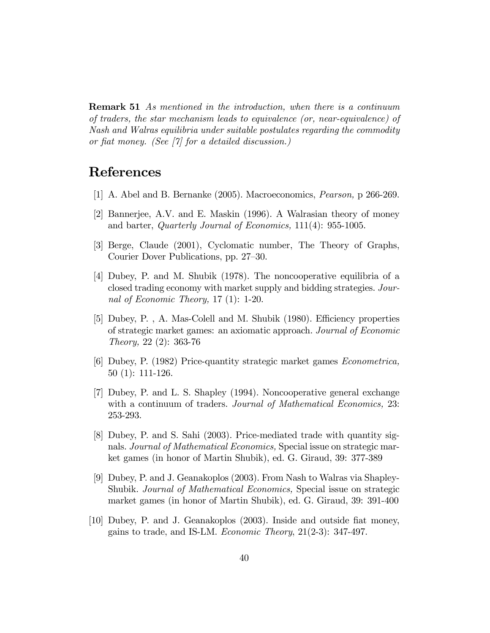**Remark 51** As mentioned in the introduction, when there is a continuum of traders, the star mechanism leads to equivalence (or, near-equivalence) of Nash and Walras equilibria under suitable postulates regarding the commodity or fiat money. (See  $[7]$  for a detailed discussion.)

# References

- [1] A. Abel and B. Bernanke (2005). Macroeconomics, Pearson, p 266-269.
- [2] Bannerjee, A.V. and E. Maskin (1996). A Walrasian theory of money and barter, Quarterly Journal of Economics, 111(4): 955-1005.
- [3] Berge, Claude (2001), Cyclomatic number, The Theory of Graphs, Courier Dover Publications, pp. 27–30.
- [4] Dubey, P. and M. Shubik (1978). The noncooperative equilibria of a closed trading economy with market supply and bidding strategies. Journal of Economic Theory, 17 (1): 1-20.
- [5] Dubey, P., A. Mas-Colell and M. Shubik (1980). Efficiency properties of strategic market games: an axiomatic approach. Journal of Economic Theory, 22 (2): 363-76
- [6] Dubey, P. (1982) Price-quantity strategic market games Econometrica, 50 (1): 111-126.
- [7] Dubey, P. and L. S. Shapley (1994). Noncooperative general exchange with a continuum of traders. *Journal of Mathematical Economics*, 23: 253-293.
- [8] Dubey, P. and S. Sahi (2003). Price-mediated trade with quantity signals. Journal of Mathematical Economics, Special issue on strategic market games (in honor of Martin Shubik), ed. G. Giraud, 39: 377-389
- [9] Dubey, P. and J. Geanakoplos (2003). From Nash to Walras via Shapley-Shubik. Journal of Mathematical Economics, Special issue on strategic market games (in honor of Martin Shubik), ed. G. Giraud, 39: 391-400
- [10] Dubey, P. and J. Geanakoplos (2003). Inside and outside Öat money, gains to trade, and IS-LM. Economic Theory, 21(2-3): 347-497.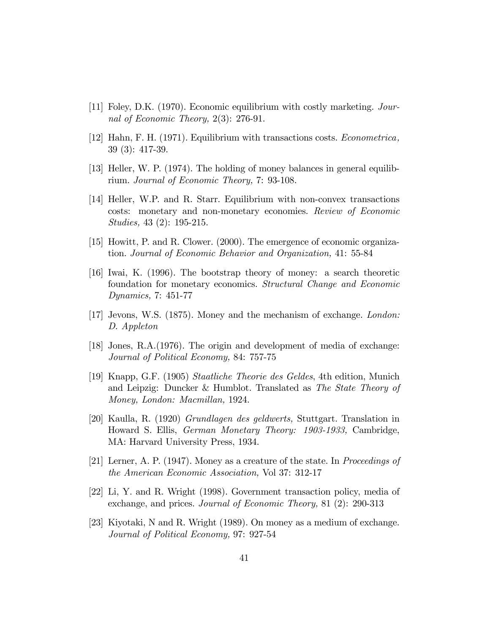- [11] Foley, D.K. (1970). Economic equilibrium with costly marketing. Journal of Economic Theory, 2(3): 276-91.
- [12] Hahn, F. H. (1971). Equilibrium with transactions costs. Econometrica, 39 (3): 417-39.
- [13] Heller, W. P. (1974). The holding of money balances in general equilibrium. Journal of Economic Theory, 7: 93-108.
- [14] Heller, W.P. and R. Starr. Equilibrium with non-convex transactions costs: monetary and non-monetary economies. Review of Economic Studies, 43 (2): 195-215.
- [15] Howitt, P. and R. Clower. (2000). The emergence of economic organization. Journal of Economic Behavior and Organization, 41: 55-84
- [16] Iwai, K. (1996). The bootstrap theory of money: a search theoretic foundation for monetary economics. Structural Change and Economic Dynamics, 7: 451-77
- [17] Jevons, W.S. (1875). Money and the mechanism of exchange. London: D. Appleton
- [18] Jones, R.A.(1976). The origin and development of media of exchange: Journal of Political Economy, 84: 757-75
- [19] Knapp, G.F. (1905) Staatliche Theorie des Geldes, 4th edition, Munich and Leipzig: Duncker & Humblot. Translated as The State Theory of Money, London: Macmillan, 1924.
- [20] Kaulla, R. (1920) Grundlagen des geldwerts, Stuttgart. Translation in Howard S. Ellis, German Monetary Theory: 1903-1933, Cambridge, MA: Harvard University Press, 1934.
- [21] Lerner, A. P. (1947). Money as a creature of the state. In Proceedings of the American Economic Association, Vol 37: 312-17
- [22] Li, Y. and R. Wright (1998). Government transaction policy, media of exchange, and prices. Journal of Economic Theory, 81 (2): 290-313
- [23] Kiyotaki, N and R. Wright (1989). On money as a medium of exchange. Journal of Political Economy, 97: 927-54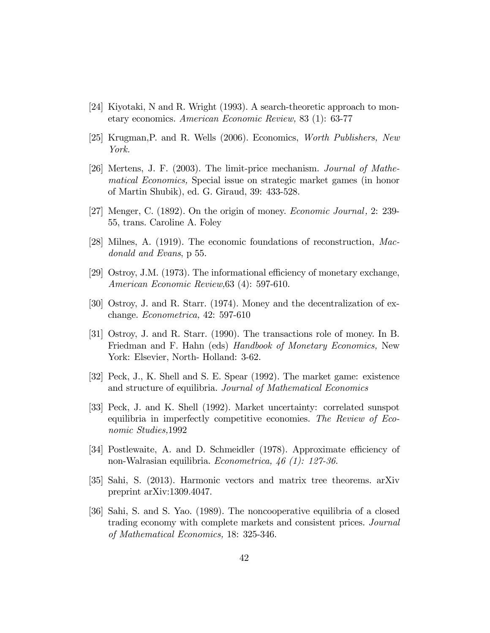- [24] Kiyotaki, N and R. Wright  $(1993)$ . A search-theoretic approach to monetary economics. American Economic Review, 83 (1): 63-77
- [25] Krugman,P. and R. Wells (2006). Economics, Worth Publishers, New York.
- [26] Mertens, J. F. (2003). The limit-price mechanism. Journal of Mathematical Economics, Special issue on strategic market games (in honor of Martin Shubik), ed. G. Giraud, 39: 433-528.
- [27] Menger, C. (1892). On the origin of money. *Economic Journal*, 2: 239-55, trans. Caroline A. Foley
- [28] Milnes, A. (1919). The economic foundations of reconstruction, Macdonald and Evans, p 55.
- [29] Ostroy, J.M.  $(1973)$ . The informational efficiency of monetary exchange, American Economic Review,63 (4): 597-610.
- [30] Ostroy, J. and R. Starr. (1974). Money and the decentralization of exchange. Econometrica, 42: 597-610
- [31] Ostroy, J. and R. Starr. (1990). The transactions role of money. In B. Friedman and F. Hahn (eds) Handbook of Monetary Economics, New York: Elsevier, North- Holland: 3-62.
- [32] Peck, J., K. Shell and S. E. Spear (1992). The market game: existence and structure of equilibria. Journal of Mathematical Economics
- [33] Peck, J. and K. Shell (1992). Market uncertainty: correlated sunspot equilibria in imperfectly competitive economies. The Review of Economic Studies,1992
- [34] Postlewaite, A. and D. Schmeidler (1978). Approximate efficiency of non-Walrasian equilibria. Econometrica, 46 (1): 127-36.
- [35] Sahi, S. (2013). Harmonic vectors and matrix tree theorems. arXiv preprint arXiv:1309.4047.
- [36] Sahi, S. and S. Yao. (1989). The noncooperative equilibria of a closed trading economy with complete markets and consistent prices. Journal of Mathematical Economics, 18: 325-346.